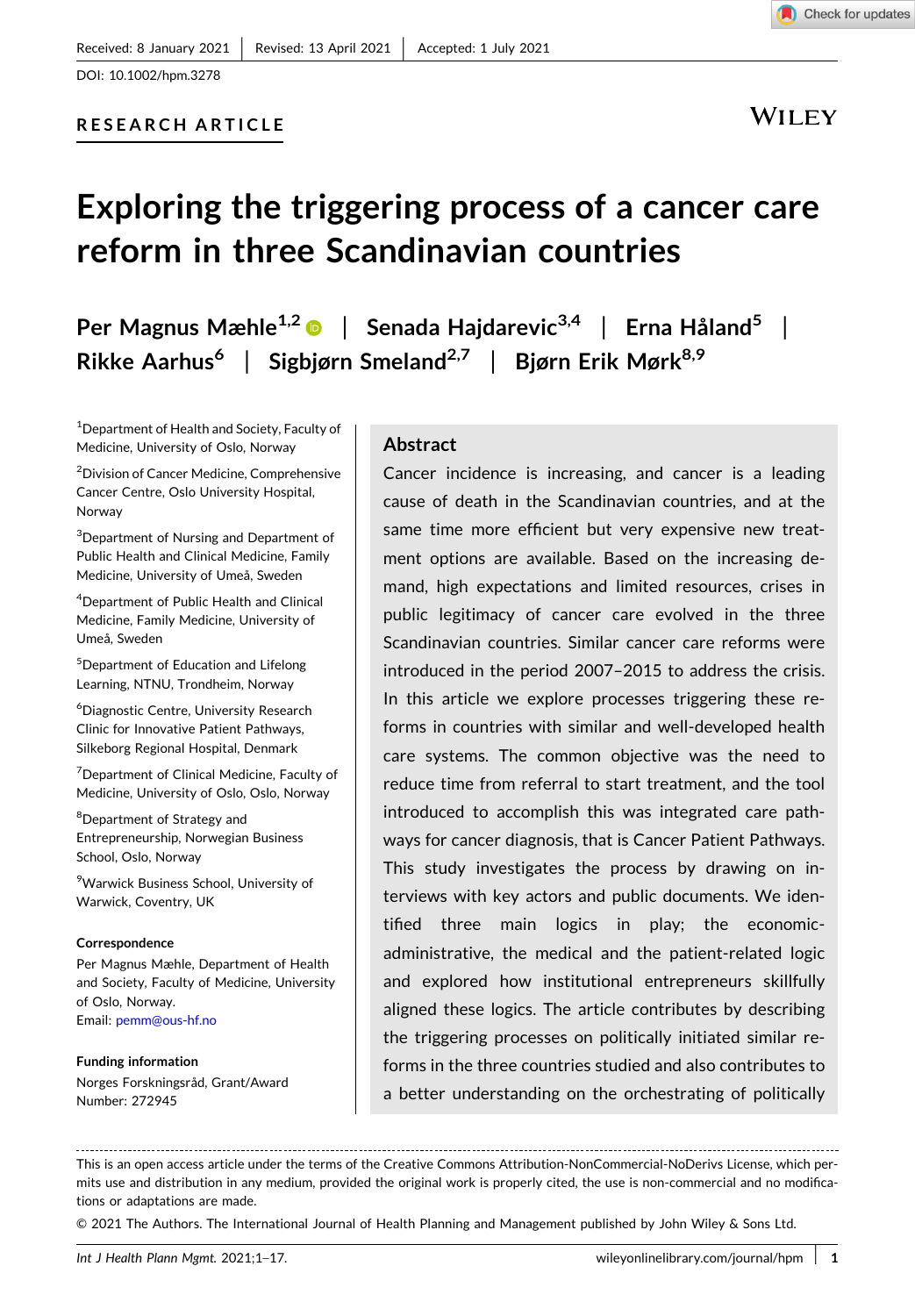DOI: [10.1002/hpm.3278](https://doi.org/10.1002/hpm.3278)

# **RESEARCH ARTICLE**

WILEY

# **Exploring the triggering process of a cancer care reform in three Scandinavian countries**

**Per Magnus Mæhle1,2** | **Senada Hajdarevic3,4** | **Erna Håland<sup>5</sup>** | **Rikke Aarhus6** | **Sigbjørn Smeland2,7** | **Bjørn Erik Mørk8,9**

1 Department of Health and Society, Faculty of Medicine, University of Oslo, Norway

2 Division of Cancer Medicine, Comprehensive Cancer Centre, Oslo University Hospital, Norway

3 Department of Nursing and Department of Public Health and Clinical Medicine, Family Medicine, University of Umeå, Sweden

4 Department of Public Health and Clinical Medicine, Family Medicine, University of Umeå, Sweden

5 Department of Education and Lifelong Learning, NTNU, Trondheim, Norway

6 Diagnostic Centre, University Research Clinic for Innovative Patient Pathways, Silkeborg Regional Hospital, Denmark

<sup>7</sup> Department of Clinical Medicine, Faculty of Medicine, University of Oslo, Oslo, Norway

<sup>8</sup>Department of Strategy and Entrepreneurship, Norwegian Business School, Oslo, Norway

9 Warwick Business School, University of Warwick, Coventry, UK

#### **Correspondence**

Per Magnus Mæhle, Department of Health and Society, Faculty of Medicine, University of Oslo, Norway. Email: [pemm@ous-hf.no](mailto:pemm@ous-hf.no)

**Funding information** Norges Forskningsråd, Grant/Award Number: 272945

## **Abstract**

Cancer incidence is increasing, and cancer is a leading cause of death in the Scandinavian countries, and at the same time more efficient but very expensive new treatment options are available. Based on the increasing demand, high expectations and limited resources, crises in public legitimacy of cancer care evolved in the three Scandinavian countries. Similar cancer care reforms were introduced in the period 2007–2015 to address the crisis. In this article we explore processes triggering these reforms in countries with similar and well‐developed health care systems. The common objective was the need to reduce time from referral to start treatment, and the tool introduced to accomplish this was integrated care pathways for cancer diagnosis, that is Cancer Patient Pathways. This study investigates the process by drawing on interviews with key actors and public documents. We identified three main logics in play; the economic‐ administrative, the medical and the patient‐related logic and explored how institutional entrepreneurs skillfully aligned these logics. The article contributes by describing the triggering processes on politically initiated similar reforms in the three countries studied and also contributes to a better understanding on the orchestrating of politically

© 2021 The Authors. The International Journal of Health Planning and Management published by John Wiley & Sons Ltd.

This is an open access article under the terms of the Creative Commons Attribution‐NonCommercial‐NoDerivs License, which permits use and distribution in any medium, provided the original work is properly cited, the use is non-commercial and no modifications or adaptations are made.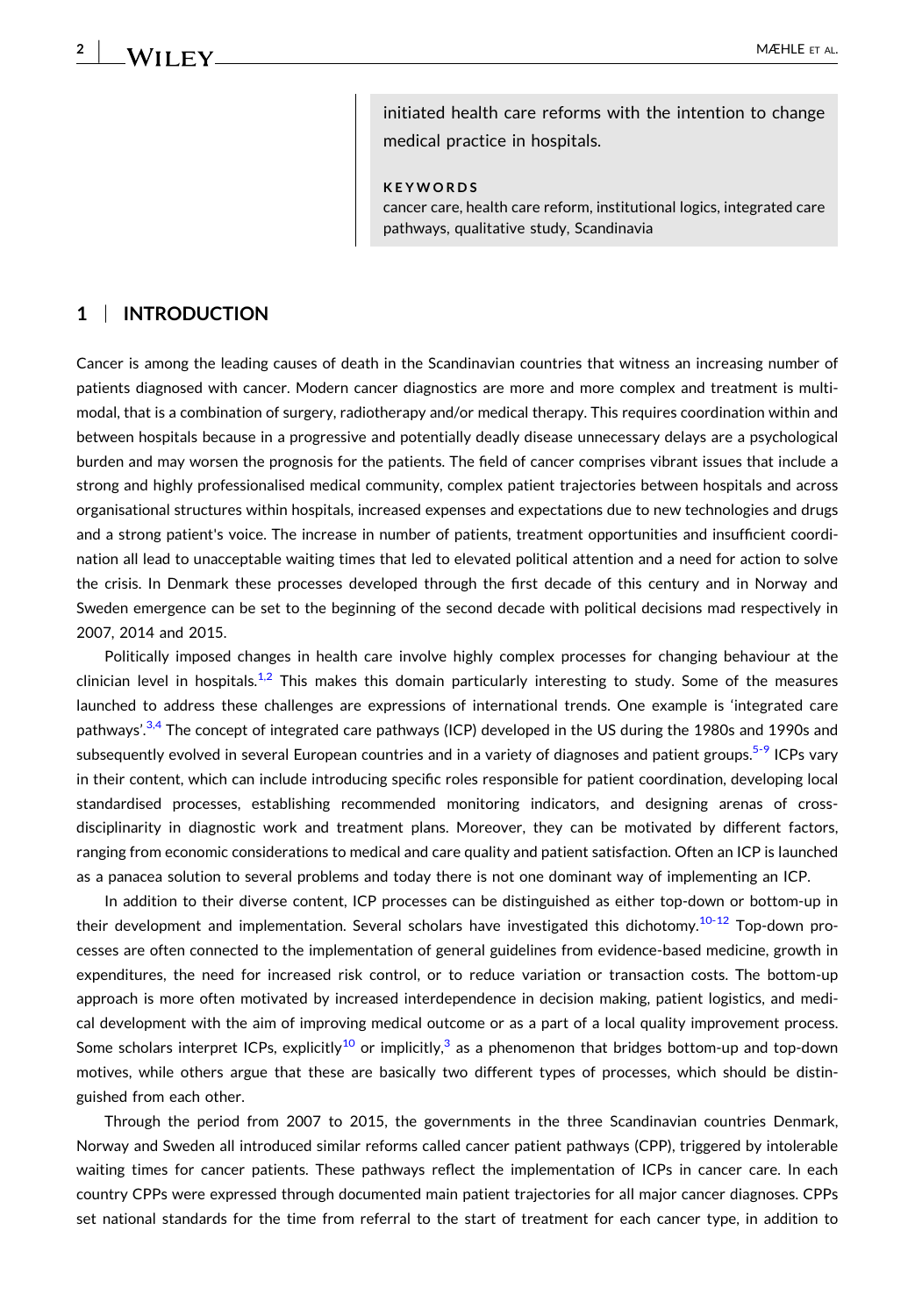**2**

initiated health care reforms with the intention to change medical practice in hospitals.

**KEYWORDS**

cancer care, health care reform, institutional logics, integrated care pathways, qualitative study, Scandinavia

## **1** <sup>|</sup> **INTRODUCTION**

Cancer is among the leading causes of death in the Scandinavian countries that witness an increasing number of patients diagnosed with cancer. Modern cancer diagnostics are more and more complex and treatment is multimodal, that is a combination of surgery, radiotherapy and/or medical therapy. This requires coordination within and between hospitals because in a progressive and potentially deadly disease unnecessary delays are a psychological burden and may worsen the prognosis for the patients. The field of cancer comprises vibrant issues that include a strong and highly professionalised medical community, complex patient trajectories between hospitals and across organisational structures within hospitals, increased expenses and expectations due to new technologies and drugs and a strong patient's voice. The increase in number of patients, treatment opportunities and insufficient coordination all lead to unacceptable waiting times that led to elevated political attention and a need for action to solve the crisis. In Denmark these processes developed through the first decade of this century and in Norway and Sweden emergence can be set to the beginning of the second decade with political decisions mad respectively in 2007, 2014 and 2015.

Politically imposed changes in health care involve highly complex processes for changing behaviour at the clinician level in hospitals.<sup>1,2</sup> This makes this domain particularly interesting to study. Some of the measures launched to address these challenges are expressions of international trends. One example is 'integrated care pathways'.<sup>3,4</sup> The concept of integrated care pathways (ICP) developed in the US during the 1980s and 1990s and subsequently evolved in several European countries and in a variety of diagnoses and patient groups.<sup>[5](#page-14-0)-9</sup> ICPs vary in their content, which can include introducing specific roles responsible for patient coordination, developing local standardised processes, establishing recommended monitoring indicators, and designing arenas of cross‐ disciplinarity in diagnostic work and treatment plans. Moreover, they can be motivated by different factors, ranging from economic considerations to medical and care quality and patient satisfaction. Often an ICP is launched as a panacea solution to several problems and today there is not one dominant way of implementing an ICP.

In addition to their diverse content, ICP processes can be distinguished as either top-down or bottom-up in their development and implementation. Several scholars have investigated this dichotomy.<sup>10-12</sup> Top-down processes are often connected to the implementation of general guidelines from evidence‐based medicine, growth in expenditures, the need for increased risk control, or to reduce variation or transaction costs. The bottom‐up approach is more often motivated by increased interdependence in decision making, patient logistics, and medical development with the aim of improving medical outcome or as a part of a local quality improvement process. Some scholars interpret ICPs, explicitly<sup>[10](#page-14-0)</sup> or implicitly,<sup>[3](#page-14-0)</sup> as a phenomenon that bridges bottom-up and top-down motives, while others argue that these are basically two different types of processes, which should be distinguished from each other.

Through the period from 2007 to 2015, the governments in the three Scandinavian countries Denmark, Norway and Sweden all introduced similar reforms called cancer patient pathways (CPP), triggered by intolerable waiting times for cancer patients. These pathways reflect the implementation of ICPs in cancer care. In each country CPPs were expressed through documented main patient trajectories for all major cancer diagnoses. CPPs set national standards for the time from referral to the start of treatment for each cancer type, in addition to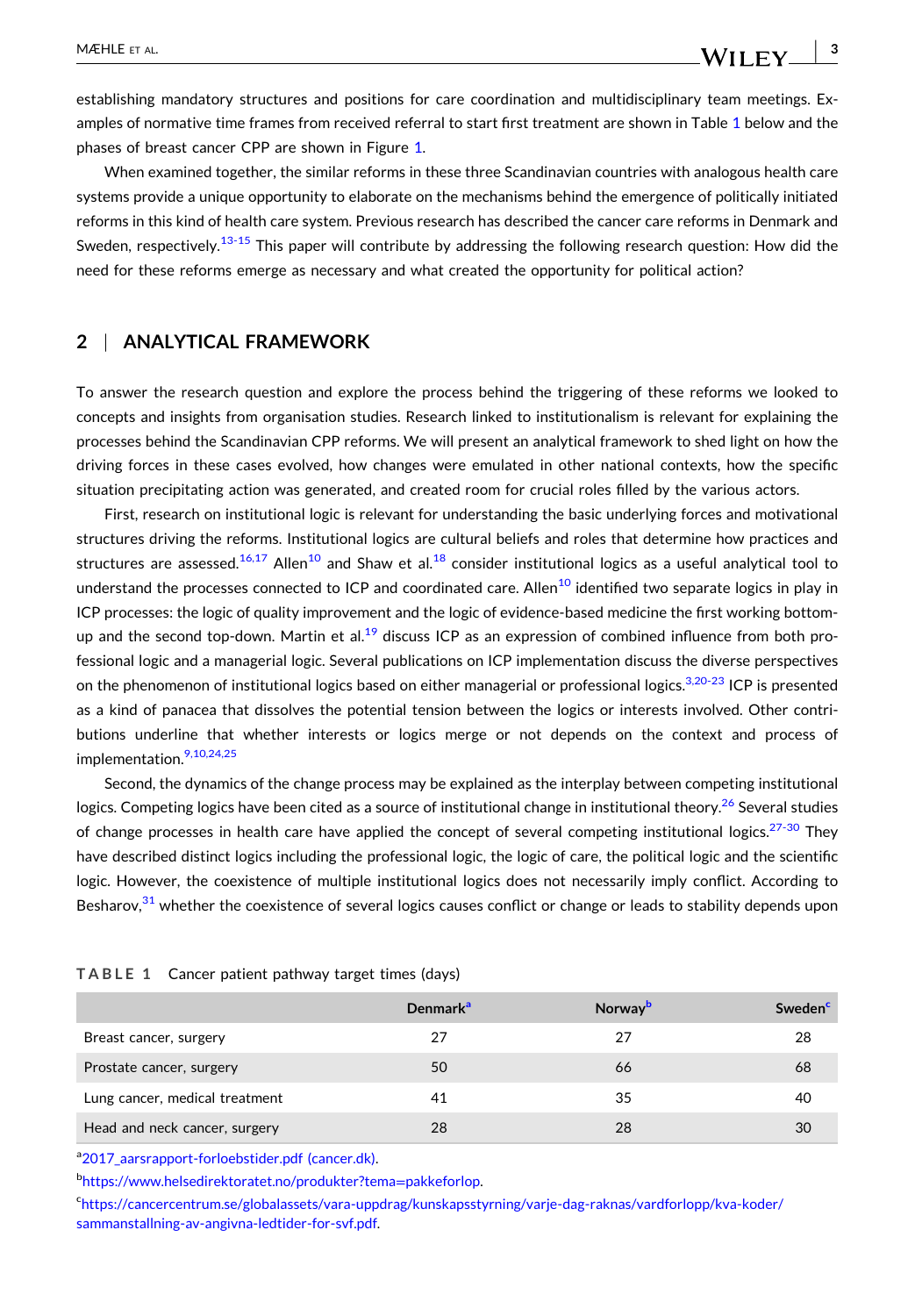establishing mandatory structures and positions for care coordination and multidisciplinary team meetings. Examples of normative time frames from received referral to start first treatment are shown in Table 1 below and the phases of breast cancer CPP are shown in Figure [1.](#page-3-0)

When examined together, the similar reforms in these three Scandinavian countries with analogous health care systems provide a unique opportunity to elaborate on the mechanisms behind the emergence of politically initiated reforms in this kind of health care system. Previous research has described the cancer care reforms in Denmark and Sweden, respectively.<sup>[13](#page-14-0)-15</sup> This paper will contribute by addressing the following research question: How did the need for these reforms emerge as necessary and what created the opportunity for political action?

## **2** <sup>|</sup> **ANALYTICAL FRAMEWORK**

To answer the research question and explore the process behind the triggering of these reforms we looked to concepts and insights from organisation studies. Research linked to institutionalism is relevant for explaining the processes behind the Scandinavian CPP reforms. We will present an analytical framework to shed light on how the driving forces in these cases evolved, how changes were emulated in other national contexts, how the specific situation precipitating action was generated, and created room for crucial roles filled by the various actors.

First, research on institutional logic is relevant for understanding the basic underlying forces and motivational structures driving the reforms. Institutional logics are cultural beliefs and roles that determine how practices and structures are assessed.<sup>[16,17](#page-14-0)</sup> Allen<sup>10</sup> and Shaw et al.<sup>18</sup> consider institutional logics as a useful analytical tool to understand the processes connected to ICP and coordinated care. Allen<sup>[10](#page-14-0)</sup> identified two separate logics in play in ICP processes: the logic of quality improvement and the logic of evidence‐based medicine the first working bottom‐ up and the second top-down. Martin et al.<sup>19</sup> discuss ICP as an expression of combined influence from both professional logic and a managerial logic. Several publications on ICP implementation discuss the diverse perspectives on the phenomenon of institutional logics based on either managerial or professional logics.<sup>3,20-23</sup> ICP is presented as a kind of panacea that dissolves the potential tension between the logics or interests involved. Other contributions underline that whether interests or logics merge or not depends on the context and process of implementation.<sup>9,10,24,25</sup>

Second, the dynamics of the change process may be explained as the interplay between competing institutional logics. Competing logics have been cited as a source of institutional change in institutional theory.<sup>[26](#page-15-0)</sup> Several studies of change processes in health care have applied the concept of several competing institutional logics.<sup>[27](#page-15-0)-30</sup> They have described distinct logics including the professional logic, the logic of care, the political logic and the scientific logic. However, the coexistence of multiple institutional logics does not necessarily imply conflict. According to Besharov,<sup>[31](#page-15-0)</sup> whether the coexistence of several logics causes conflict or change or leads to stability depends upon

|                                | Denmark <sup>a</sup> | Norway <sup>b</sup> | Sweden <sup>c</sup> |
|--------------------------------|----------------------|---------------------|---------------------|
| Breast cancer, surgery         | 27                   | 27                  | 28                  |
| Prostate cancer, surgery       | 50                   | 66                  | 68                  |
| Lung cancer, medical treatment | 41                   | 35                  | 40                  |
| Head and neck cancer, surgery  | 28                   | 28                  | 30                  |

**TABLE 1** Cancer patient pathway target times (days)

a<sub>[2017\\_aarsrapport](https://www.cancer.dk/dyn/resources/File/file/1/7341/1527753287/2017_aarsrapport-forloebstider.pdf)-forloebstider.pdf (cancer.dk).</sub>

<sup>b</sup>[https://www.helsedirektoratet.no/produkter?tema](https://www.helsedirektoratet.no/produkter%3Ftema%3Dpakkeforlop)=pakkeforlop.

c [https://cancercentrum.se/globalassets/vara](http://cancercentrum.se/samverkan/vara%2Duppdrag/statistik/svf%2Dstatistik/vantetider%2Dredovisning/)‐uppdrag/kunskapsstyrning/varje‐dag‐raknas/vardforlopp/kva‐koder/ [sammanstallning](http://cancercentrum.se/samverkan/vara%2Duppdrag/statistik/svf%2Dstatistik/vantetider%2Dredovisning/)‐av‐angivna‐ledtider‐for‐svf.pdf.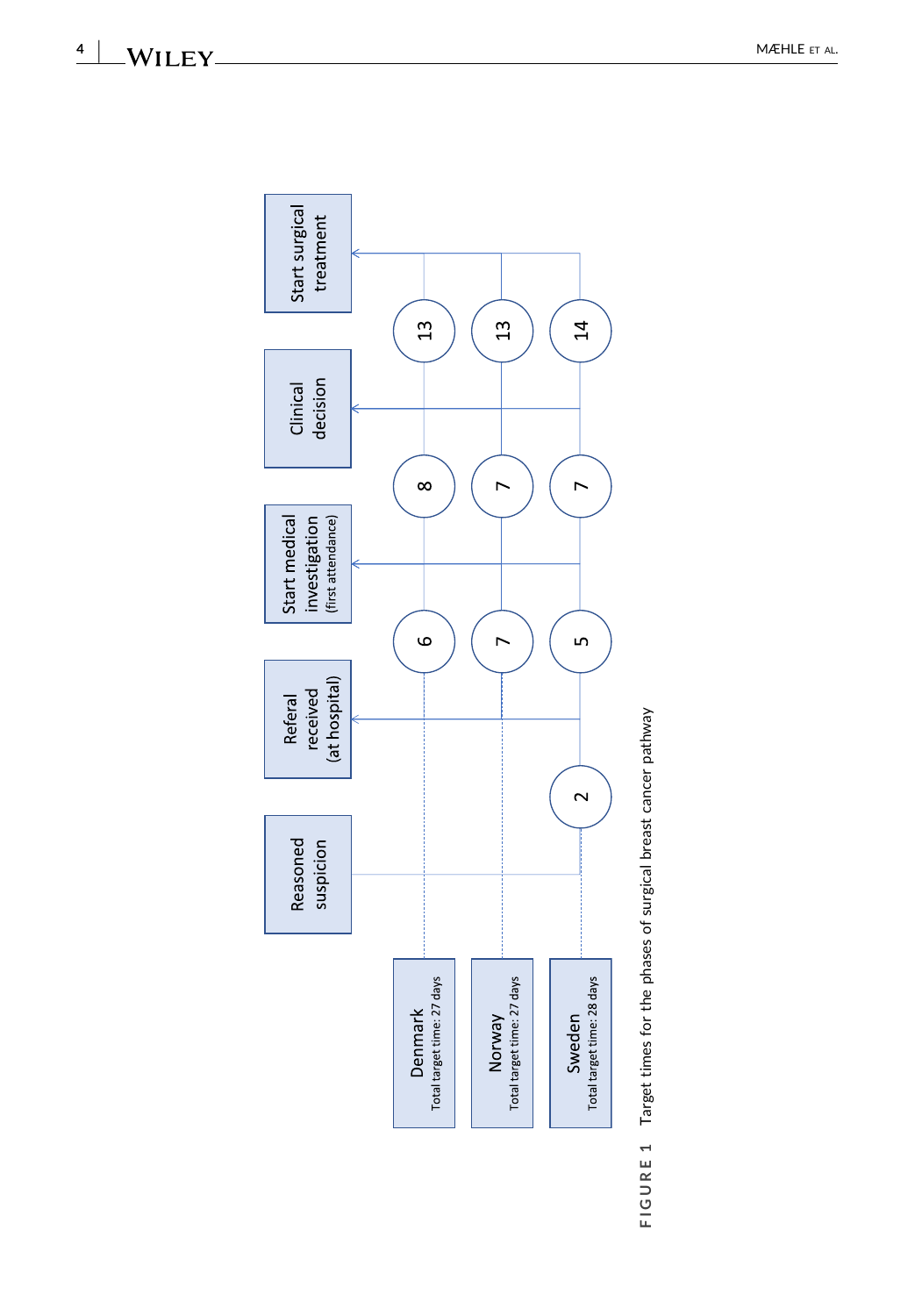<span id="page-3-0"></span>**4**

 $-WILEY$ 



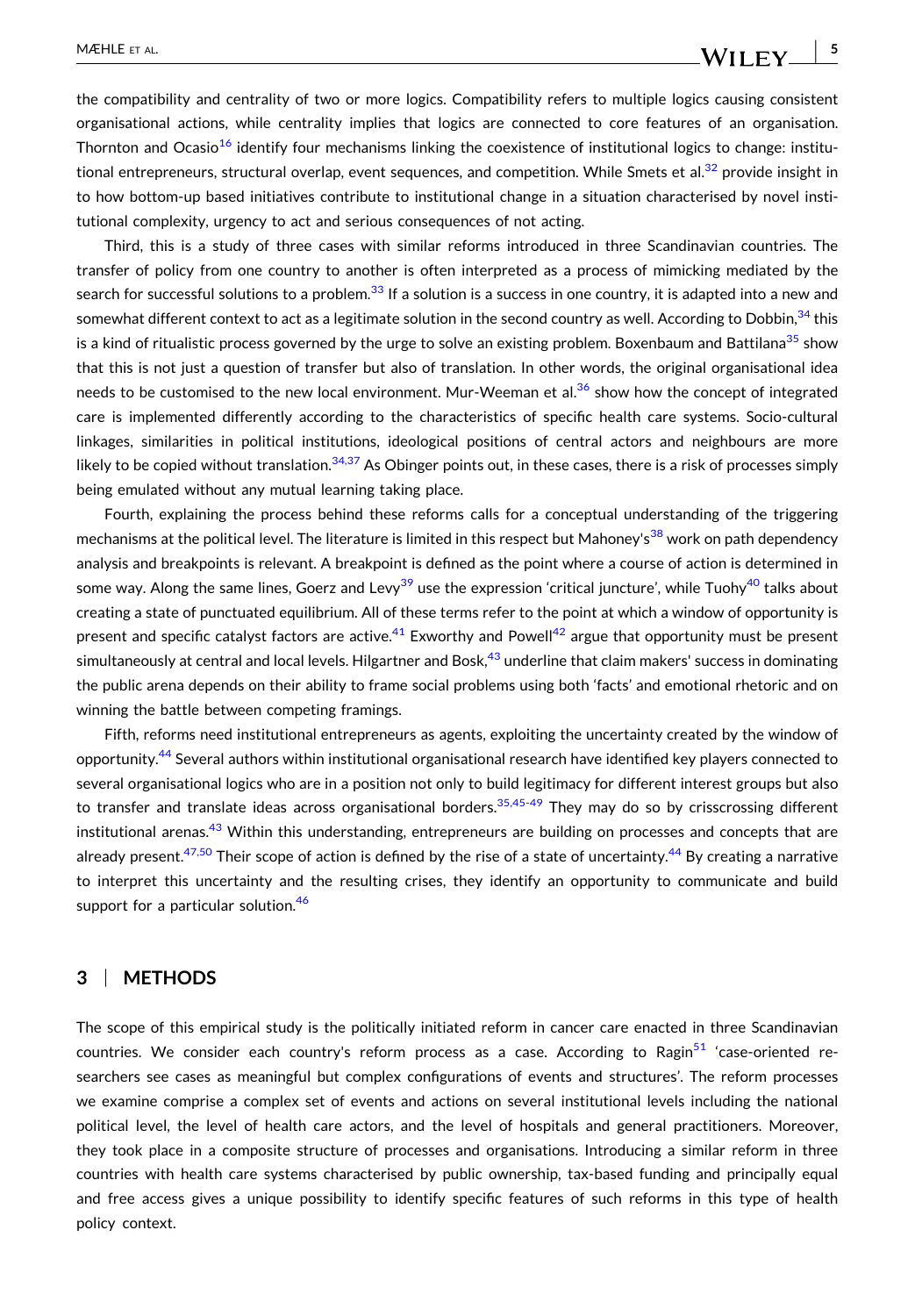the compatibility and centrality of two or more logics. Compatibility refers to multiple logics causing consistent organisational actions, while centrality implies that logics are connected to core features of an organisation. Thornton and Ocasio<sup>[16](#page-14-0)</sup> identify four mechanisms linking the coexistence of institutional logics to change: institutional entrepreneurs, structural overlap, event sequences, and competition. While Smets et al.<sup>32</sup> provide insight in to how bottom‐up based initiatives contribute to institutional change in a situation characterised by novel institutional complexity, urgency to act and serious consequences of not acting.

Third, this is a study of three cases with similar reforms introduced in three Scandinavian countries. The transfer of policy from one country to another is often interpreted as a process of mimicking mediated by the search for successful solutions to a problem.<sup>[33](#page-15-0)</sup> If a solution is a success in one country, it is adapted into a new and somewhat different context to act as a legitimate solution in the second country as well. According to Dobbin, [34](#page-15-0) this is a kind of ritualistic process governed by the urge to solve an existing problem. Boxenbaum and Battilana $^{35}$  $^{35}$  $^{35}$  show that this is not just a question of transfer but also of translation. In other words, the original organisational idea needs to be customised to the new local environment. Mur-Weeman et al.<sup>[36](#page-15-0)</sup> show how the concept of integrated care is implemented differently according to the characteristics of specific health care systems. Socio-cultural linkages, similarities in political institutions, ideological positions of central actors and neighbours are more likely to be copied without translation.<sup>[34,37](#page-15-0)</sup> As Obinger points out, in these cases, there is a risk of processes simply being emulated without any mutual learning taking place.

Fourth, explaining the process behind these reforms calls for a conceptual understanding of the triggering mechanisms at the political level. The literature is limited in this respect but Mahoney's<sup>[38](#page-15-0)</sup> work on path dependency analysis and breakpoints is relevant. A breakpoint is defined as the point where a course of action is determined in some way. Along the same lines, Goerz and Levy<sup>[39](#page-15-0)</sup> use the expression 'critical juncture', while Tuohy<sup>[40](#page-15-0)</sup> talks about creating a state of punctuated equilibrium. All of these terms refer to the point at which a window of opportunity is present and specific catalyst factors are active.<sup>[41](#page-15-0)</sup> Exworthy and Powell<sup>[42](#page-15-0)</sup> argue that opportunity must be present simultaneously at central and local levels. Hilgartner and Bosk,<sup>43</sup> underline that claim makers' success in dominating the public arena depends on their ability to frame social problems using both 'facts' and emotional rhetoric and on winning the battle between competing framings.

Fifth, reforms need institutional entrepreneurs as agents, exploiting the uncertainty created by the window of opportunity[.44](#page-15-0) Several authors within institutional organisational research have identified key players connected to several organisational logics who are in a position not only to build legitimacy for different interest groups but also to transfer and translate ideas across organisational borders.<sup>35,45-49</sup> They may do so by crisscrossing different institutional arenas.<sup>[43](#page-15-0)</sup> Within this understanding, entrepreneurs are building on processes and concepts that are already present.<sup>47,50</sup> Their scope of action is defined by the rise of a state of uncertainty.<sup>[44](#page-15-0)</sup> By creating a narrative to interpret this uncertainty and the resulting crises, they identify an opportunity to communicate and build support for a particular solution.<sup>[46](#page-15-0)</sup>

## **3** <sup>|</sup> **METHODS**

The scope of this empirical study is the politically initiated reform in cancer care enacted in three Scandinavian countries. We consider each country's reform process as a case. According to Ragin<sup>[51](#page-16-0)</sup> 'case-oriented researchers see cases as meaningful but complex configurations of events and structures'. The reform processes we examine comprise a complex set of events and actions on several institutional levels including the national political level, the level of health care actors, and the level of hospitals and general practitioners. Moreover, they took place in a composite structure of processes and organisations. Introducing a similar reform in three countries with health care systems characterised by public ownership, tax‐based funding and principally equal and free access gives a unique possibility to identify specific features of such reforms in this type of health policy context.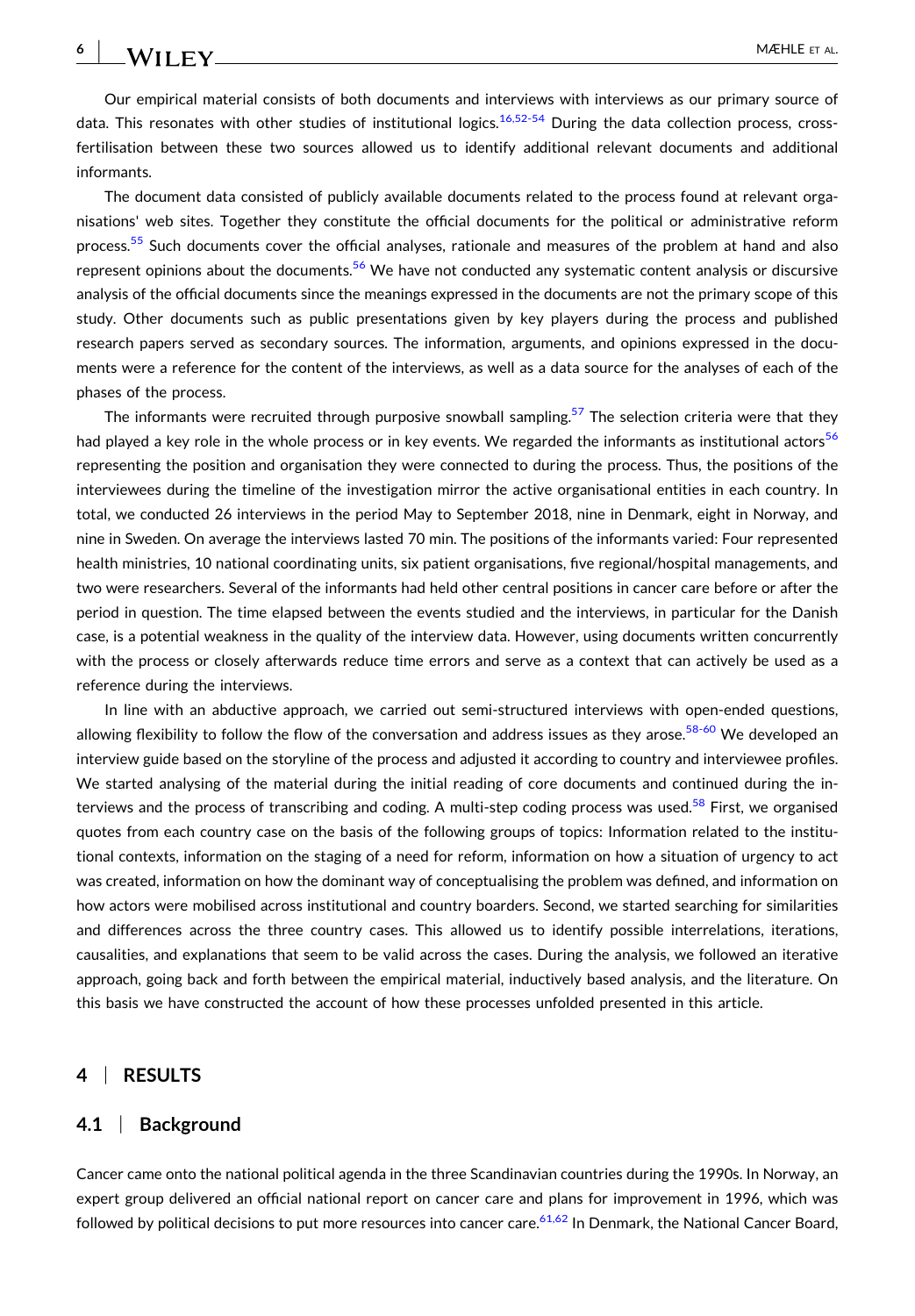Our empirical material consists of both documents and interviews with interviews as our primary source of data. This resonates with other studies of institutional logics.<sup>[16,52](#page-14-0)-54</sup> During the data collection process, crossfertilisation between these two sources allowed us to identify additional relevant documents and additional informants.

The document data consisted of publicly available documents related to the process found at relevant organisations' web sites. Together they constitute the official documents for the political or administrative reform process.<sup>[55](#page-16-0)</sup> Such documents cover the official analyses, rationale and measures of the problem at hand and also represent opinions about the documents.<sup>[56](#page-16-0)</sup> We have not conducted any systematic content analysis or discursive analysis of the official documents since the meanings expressed in the documents are not the primary scope of this study. Other documents such as public presentations given by key players during the process and published research papers served as secondary sources. The information, arguments, and opinions expressed in the documents were a reference for the content of the interviews, as well as a data source for the analyses of each of the phases of the process.

The informants were recruited through purposive snowball sampling.<sup>[57](#page-16-0)</sup> The selection criteria were that they had played a key role in the whole process or in key events. We regarded the informants as institutional actors<sup>56</sup> representing the position and organisation they were connected to during the process. Thus, the positions of the interviewees during the timeline of the investigation mirror the active organisational entities in each country. In total, we conducted 26 interviews in the period May to September 2018, nine in Denmark, eight in Norway, and nine in Sweden. On average the interviews lasted 70 min. The positions of the informants varied: Four represented health ministries, 10 national coordinating units, six patient organisations, five regional/hospital managements, and two were researchers. Several of the informants had held other central positions in cancer care before or after the period in question. The time elapsed between the events studied and the interviews, in particular for the Danish case, is a potential weakness in the quality of the interview data. However, using documents written concurrently with the process or closely afterwards reduce time errors and serve as a context that can actively be used as a reference during the interviews.

In line with an abductive approach, we carried out semi-structured interviews with open-ended questions, allowing flexibility to follow the flow of the conversation and address issues as they arose.<sup>[58](#page-16-0)-60</sup> We developed an interview guide based on the storyline of the process and adjusted it according to country and interviewee profiles. We started analysing of the material during the initial reading of core documents and continued during the in-terviews and the process of transcribing and coding. A multi-step coding process was used.<sup>[58](#page-16-0)</sup> First, we organised quotes from each country case on the basis of the following groups of topics: Information related to the institutional contexts, information on the staging of a need for reform, information on how a situation of urgency to act was created, information on how the dominant way of conceptualising the problem was defined, and information on how actors were mobilised across institutional and country boarders. Second, we started searching for similarities and differences across the three country cases. This allowed us to identify possible interrelations, iterations, causalities, and explanations that seem to be valid across the cases. During the analysis, we followed an iterative approach, going back and forth between the empirical material, inductively based analysis, and the literature. On this basis we have constructed the account of how these processes unfolded presented in this article.

## **4** <sup>|</sup> **RESULTS**

## **4.1** <sup>|</sup> **Background**

Cancer came onto the national political agenda in the three Scandinavian countries during the 1990s. In Norway, an expert group delivered an official national report on cancer care and plans for improvement in 1996, which was followed by political decisions to put more resources into cancer care.  $61,62$  In Denmark, the National Cancer Board,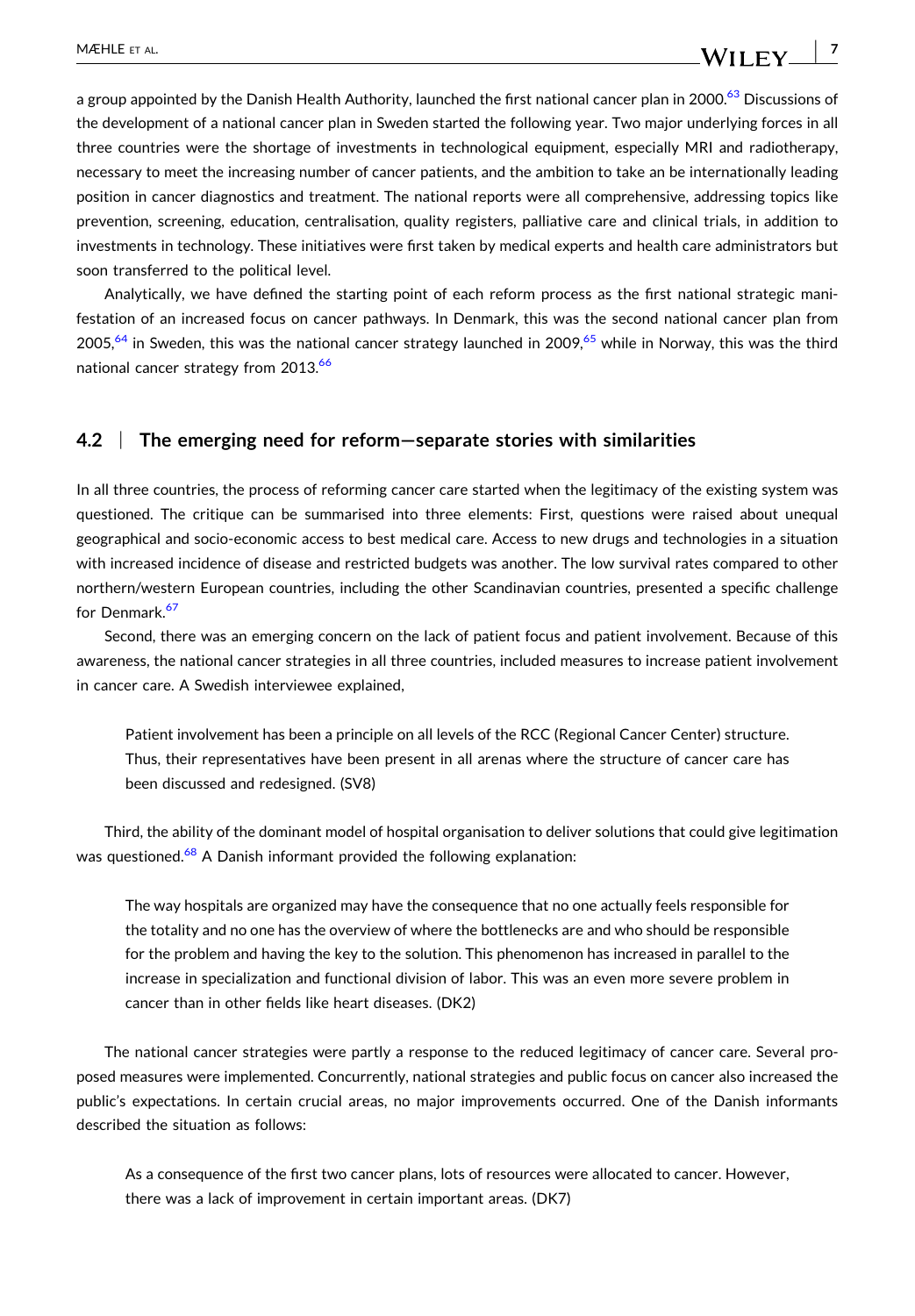$\vert$  7

a group appointed by the Danish Health Authority, launched the first national cancer plan in 2000.<sup>63</sup> Discussions of the development of a national cancer plan in Sweden started the following year. Two major underlying forces in all three countries were the shortage of investments in technological equipment, especially MRI and radiotherapy, necessary to meet the increasing number of cancer patients, and the ambition to take an be internationally leading position in cancer diagnostics and treatment. The national reports were all comprehensive, addressing topics like prevention, screening, education, centralisation, quality registers, palliative care and clinical trials, in addition to investments in technology. These initiatives were first taken by medical experts and health care administrators but soon transferred to the political level.

Analytically, we have defined the starting point of each reform process as the first national strategic manifestation of an increased focus on cancer pathways. In Denmark, this was the second national cancer plan from 2005,<sup>[64](#page-16-0)</sup> in Sweden, this was the national cancer strategy launched in 2009,<sup>[65](#page-16-0)</sup> while in Norway, this was the third national cancer strategy from 2013.<sup>[66](#page-16-0)</sup>

### **4.2** <sup>|</sup> **The emerging need for reform—separate stories with similarities**

In all three countries, the process of reforming cancer care started when the legitimacy of the existing system was questioned. The critique can be summarised into three elements: First, questions were raised about unequal geographical and socio‐economic access to best medical care. Access to new drugs and technologies in a situation with increased incidence of disease and restricted budgets was another. The low survival rates compared to other northern/western European countries, including the other Scandinavian countries, presented a specific challenge for Denmark.<sup>[67](#page-16-0)</sup>

Second, there was an emerging concern on the lack of patient focus and patient involvement. Because of this awareness, the national cancer strategies in all three countries, included measures to increase patient involvement in cancer care. A Swedish interviewee explained,

Patient involvement has been a principle on all levels of the RCC (Regional Cancer Center) structure. Thus, their representatives have been present in all arenas where the structure of cancer care has been discussed and redesigned. (SV8)

Third, the ability of the dominant model of hospital organisation to deliver solutions that could give legitimation was questioned.<sup>[68](#page-16-0)</sup> A Danish informant provided the following explanation:

The way hospitals are organized may have the consequence that no one actually feels responsible for the totality and no one has the overview of where the bottlenecks are and who should be responsible for the problem and having the key to the solution. This phenomenon has increased in parallel to the increase in specialization and functional division of labor. This was an even more severe problem in cancer than in other fields like heart diseases. (DK2)

The national cancer strategies were partly a response to the reduced legitimacy of cancer care. Several proposed measures were implemented. Concurrently, national strategies and public focus on cancer also increased the public's expectations. In certain crucial areas, no major improvements occurred. One of the Danish informants described the situation as follows:

As a consequence of the first two cancer plans, lots of resources were allocated to cancer. However, there was a lack of improvement in certain important areas. (DK7)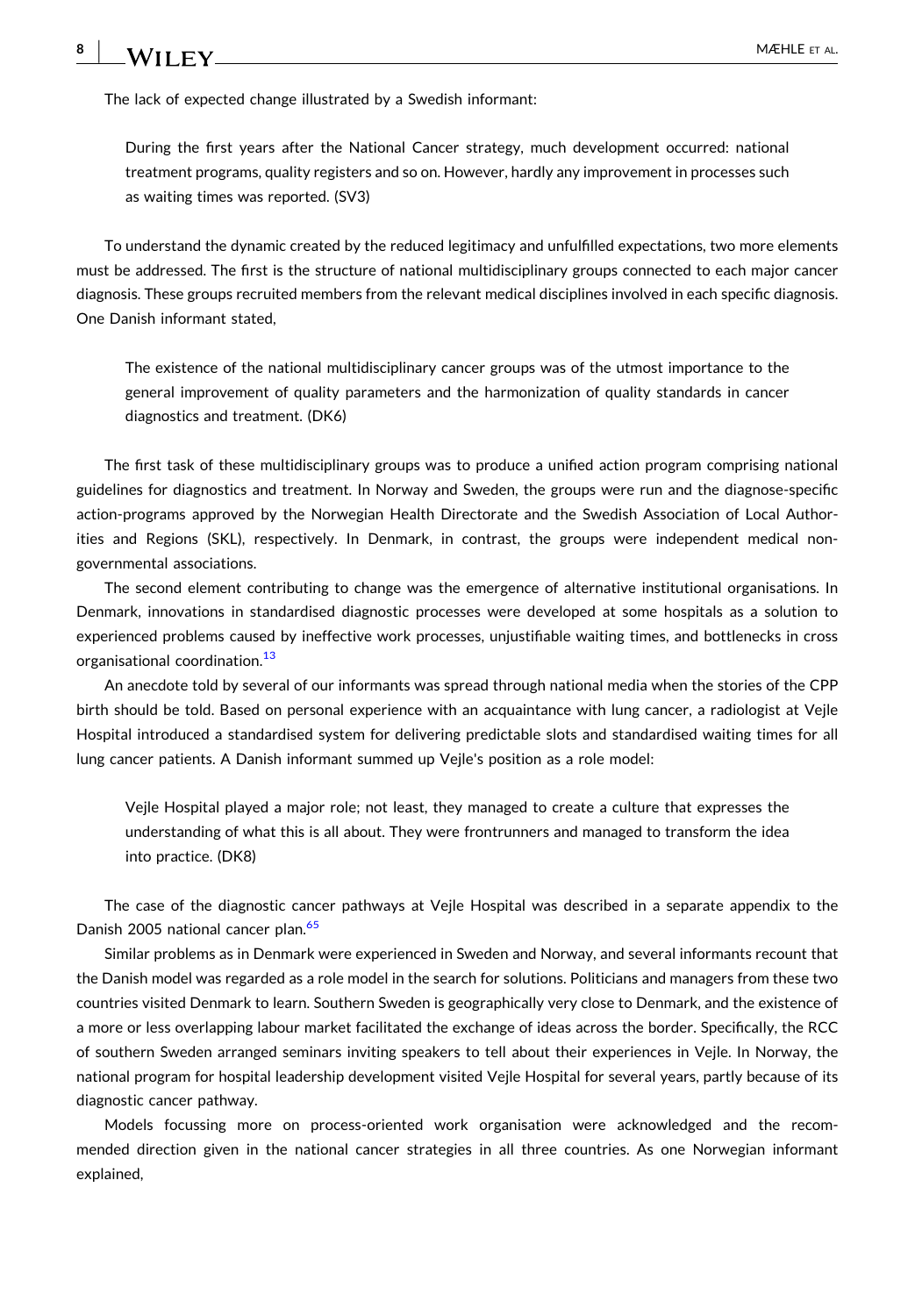The lack of expected change illustrated by a Swedish informant:

During the first years after the National Cancer strategy, much development occurred: national treatment programs, quality registers and so on. However, hardly any improvement in processes such as waiting times was reported. (SV3)

To understand the dynamic created by the reduced legitimacy and unfulfilled expectations, two more elements must be addressed. The first is the structure of national multidisciplinary groups connected to each major cancer diagnosis. These groups recruited members from the relevant medical disciplines involved in each specific diagnosis. One Danish informant stated,

The existence of the national multidisciplinary cancer groups was of the utmost importance to the general improvement of quality parameters and the harmonization of quality standards in cancer diagnostics and treatment. (DK6)

The first task of these multidisciplinary groups was to produce a unified action program comprising national guidelines for diagnostics and treatment. In Norway and Sweden, the groups were run and the diagnose‐specific action‐programs approved by the Norwegian Health Directorate and the Swedish Association of Local Authorities and Regions (SKL), respectively. In Denmark, in contrast, the groups were independent medical non‐ governmental associations.

The second element contributing to change was the emergence of alternative institutional organisations. In Denmark, innovations in standardised diagnostic processes were developed at some hospitals as a solution to experienced problems caused by ineffective work processes, unjustifiable waiting times, and bottlenecks in cross organisational coordination.<sup>13</sup>

An anecdote told by several of our informants was spread through national media when the stories of the CPP birth should be told. Based on personal experience with an acquaintance with lung cancer, a radiologist at Vejle Hospital introduced a standardised system for delivering predictable slots and standardised waiting times for all lung cancer patients. A Danish informant summed up Vejle's position as a role model:

Vejle Hospital played a major role; not least, they managed to create a culture that expresses the understanding of what this is all about. They were frontrunners and managed to transform the idea into practice. (DK8)

The case of the diagnostic cancer pathways at Vejle Hospital was described in a separate appendix to the Danish 2005 national cancer plan.<sup>[65](#page-16-0)</sup>

Similar problems as in Denmark were experienced in Sweden and Norway, and several informants recount that the Danish model was regarded as a role model in the search for solutions. Politicians and managers from these two countries visited Denmark to learn. Southern Sweden is geographically very close to Denmark, and the existence of a more or less overlapping labour market facilitated the exchange of ideas across the border. Specifically, the RCC of southern Sweden arranged seminars inviting speakers to tell about their experiences in Vejle. In Norway, the national program for hospital leadership development visited Vejle Hospital for several years, partly because of its diagnostic cancer pathway.

Models focussing more on process-oriented work organisation were acknowledged and the recommended direction given in the national cancer strategies in all three countries. As one Norwegian informant explained,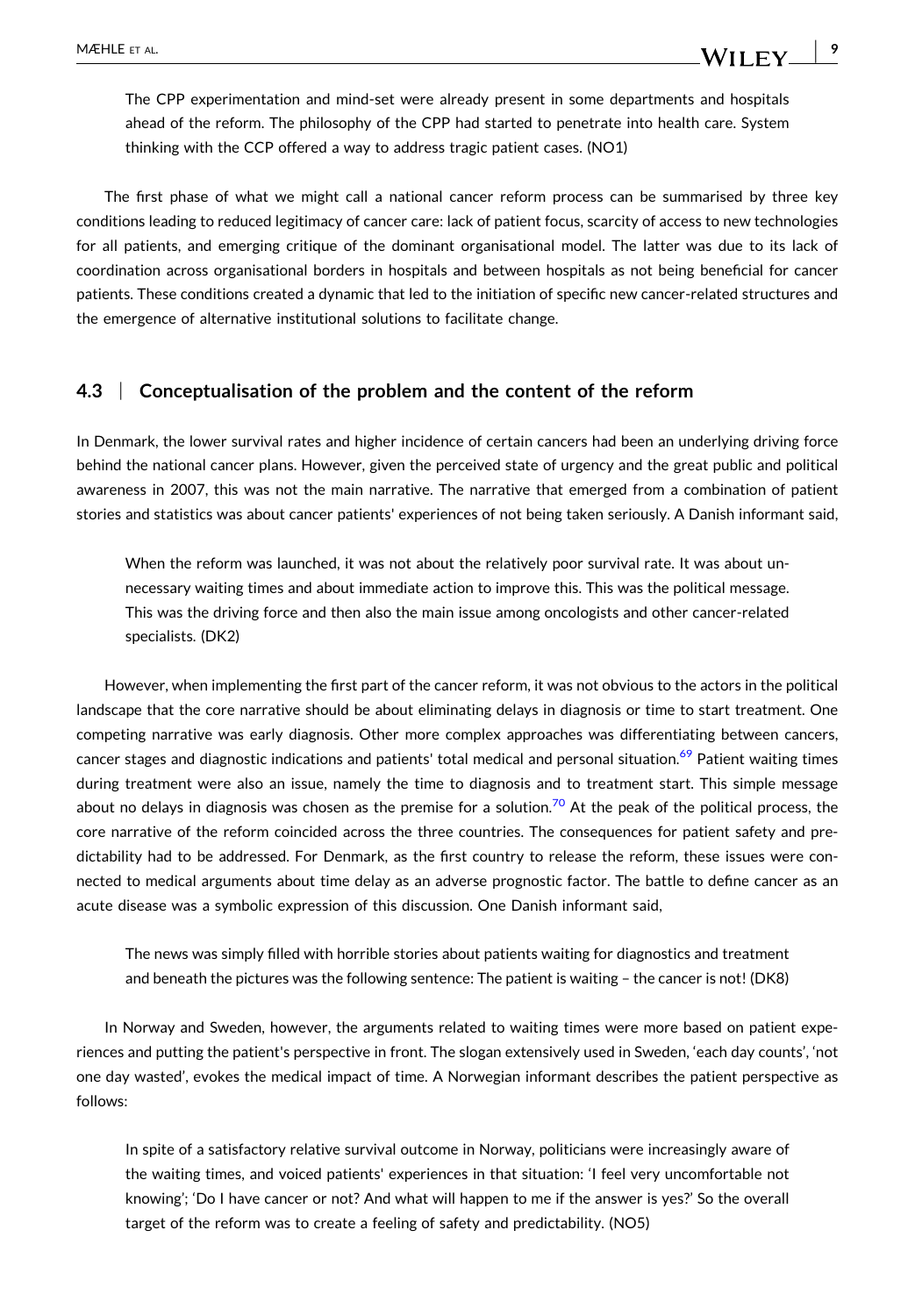The CPP experimentation and mind-set were already present in some departments and hospitals ahead of the reform. The philosophy of the CPP had started to penetrate into health care. System thinking with the CCP offered a way to address tragic patient cases. (NO1)

The first phase of what we might call a national cancer reform process can be summarised by three key conditions leading to reduced legitimacy of cancer care: lack of patient focus, scarcity of access to new technologies for all patients, and emerging critique of the dominant organisational model. The latter was due to its lack of coordination across organisational borders in hospitals and between hospitals as not being beneficial for cancer patients. These conditions created a dynamic that led to the initiation of specific new cancer‐related structures and the emergence of alternative institutional solutions to facilitate change.

### **4.3** <sup>|</sup> **Conceptualisation of the problem and the content of the reform**

In Denmark, the lower survival rates and higher incidence of certain cancers had been an underlying driving force behind the national cancer plans. However, given the perceived state of urgency and the great public and political awareness in 2007, this was not the main narrative. The narrative that emerged from a combination of patient stories and statistics was about cancer patients' experiences of not being taken seriously. A Danish informant said,

When the reform was launched, it was not about the relatively poor survival rate. It was about unnecessary waiting times and about immediate action to improve this. This was the political message. This was the driving force and then also the main issue among oncologists and other cancer‐related specialists. (DK2)

However, when implementing the first part of the cancer reform, it was not obvious to the actors in the political landscape that the core narrative should be about eliminating delays in diagnosis or time to start treatment. One competing narrative was early diagnosis. Other more complex approaches was differentiating between cancers, cancer stages and diagnostic indications and patients' total medical and personal situation.<sup>[69](#page-16-0)</sup> Patient waiting times during treatment were also an issue, namely the time to diagnosis and to treatment start. This simple message about no delays in diagnosis was chosen as the premise for a solution.<sup>[70](#page-16-0)</sup> At the peak of the political process, the core narrative of the reform coincided across the three countries. The consequences for patient safety and predictability had to be addressed. For Denmark, as the first country to release the reform, these issues were connected to medical arguments about time delay as an adverse prognostic factor. The battle to define cancer as an acute disease was a symbolic expression of this discussion. One Danish informant said,

The news was simply filled with horrible stories about patients waiting for diagnostics and treatment and beneath the pictures was the following sentence: The patient is waiting – the cancer is not! (DK8)

In Norway and Sweden, however, the arguments related to waiting times were more based on patient experiences and putting the patient's perspective in front. The slogan extensively used in Sweden, 'each day counts', 'not one day wasted', evokes the medical impact of time. A Norwegian informant describes the patient perspective as follows:

In spite of a satisfactory relative survival outcome in Norway, politicians were increasingly aware of the waiting times, and voiced patients' experiences in that situation: 'I feel very uncomfortable not knowing'; 'Do I have cancer or not? And what will happen to me if the answer is yes?' So the overall target of the reform was to create a feeling of safety and predictability. (NO5)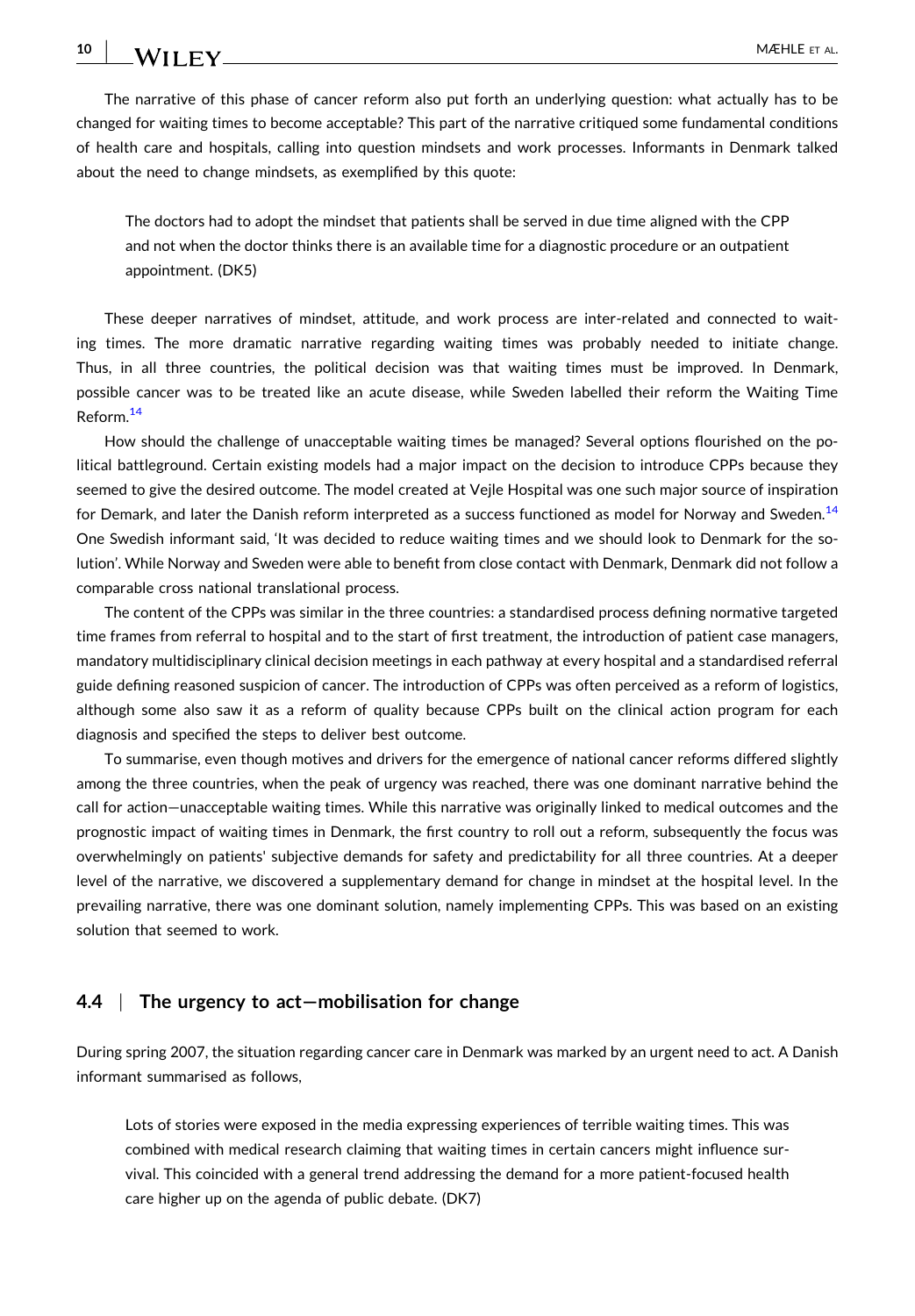The narrative of this phase of cancer reform also put forth an underlying question: what actually has to be changed for waiting times to become acceptable? This part of the narrative critiqued some fundamental conditions of health care and hospitals, calling into question mindsets and work processes. Informants in Denmark talked about the need to change mindsets, as exemplified by this quote:

The doctors had to adopt the mindset that patients shall be served in due time aligned with the CPP and not when the doctor thinks there is an available time for a diagnostic procedure or an outpatient appointment. (DK5)

These deeper narratives of mindset, attitude, and work process are inter-related and connected to waiting times. The more dramatic narrative regarding waiting times was probably needed to initiate change. Thus, in all three countries, the political decision was that waiting times must be improved. In Denmark, possible cancer was to be treated like an acute disease, while Sweden labelled their reform the Waiting Time Reform.[14](#page-14-0)

How should the challenge of unacceptable waiting times be managed? Several options flourished on the political battleground. Certain existing models had a major impact on the decision to introduce CPPs because they seemed to give the desired outcome. The model created at Vejle Hospital was one such major source of inspiration for Demark, and later the Danish reform interpreted as a success functioned as model for Norway and Sweden.<sup>14</sup> One Swedish informant said, 'It was decided to reduce waiting times and we should look to Denmark for the solution'. While Norway and Sweden were able to benefit from close contact with Denmark, Denmark did not follow a comparable cross national translational process.

The content of the CPPs was similar in the three countries: a standardised process defining normative targeted time frames from referral to hospital and to the start of first treatment, the introduction of patient case managers, mandatory multidisciplinary clinical decision meetings in each pathway at every hospital and a standardised referral guide defining reasoned suspicion of cancer. The introduction of CPPs was often perceived as a reform of logistics, although some also saw it as a reform of quality because CPPs built on the clinical action program for each diagnosis and specified the steps to deliver best outcome.

To summarise, even though motives and drivers for the emergence of national cancer reforms differed slightly among the three countries, when the peak of urgency was reached, there was one dominant narrative behind the call for action—unacceptable waiting times. While this narrative was originally linked to medical outcomes and the prognostic impact of waiting times in Denmark, the first country to roll out a reform, subsequently the focus was overwhelmingly on patients' subjective demands for safety and predictability for all three countries. At a deeper level of the narrative, we discovered a supplementary demand for change in mindset at the hospital level. In the prevailing narrative, there was one dominant solution, namely implementing CPPs. This was based on an existing solution that seemed to work.

## **4.4** <sup>|</sup> **The urgency to act—mobilisation for change**

During spring 2007, the situation regarding cancer care in Denmark was marked by an urgent need to act. A Danish informant summarised as follows,

Lots of stories were exposed in the media expressing experiences of terrible waiting times. This was combined with medical research claiming that waiting times in certain cancers might influence survival. This coincided with a general trend addressing the demand for a more patient‐focused health care higher up on the agenda of public debate. (DK7)

**10**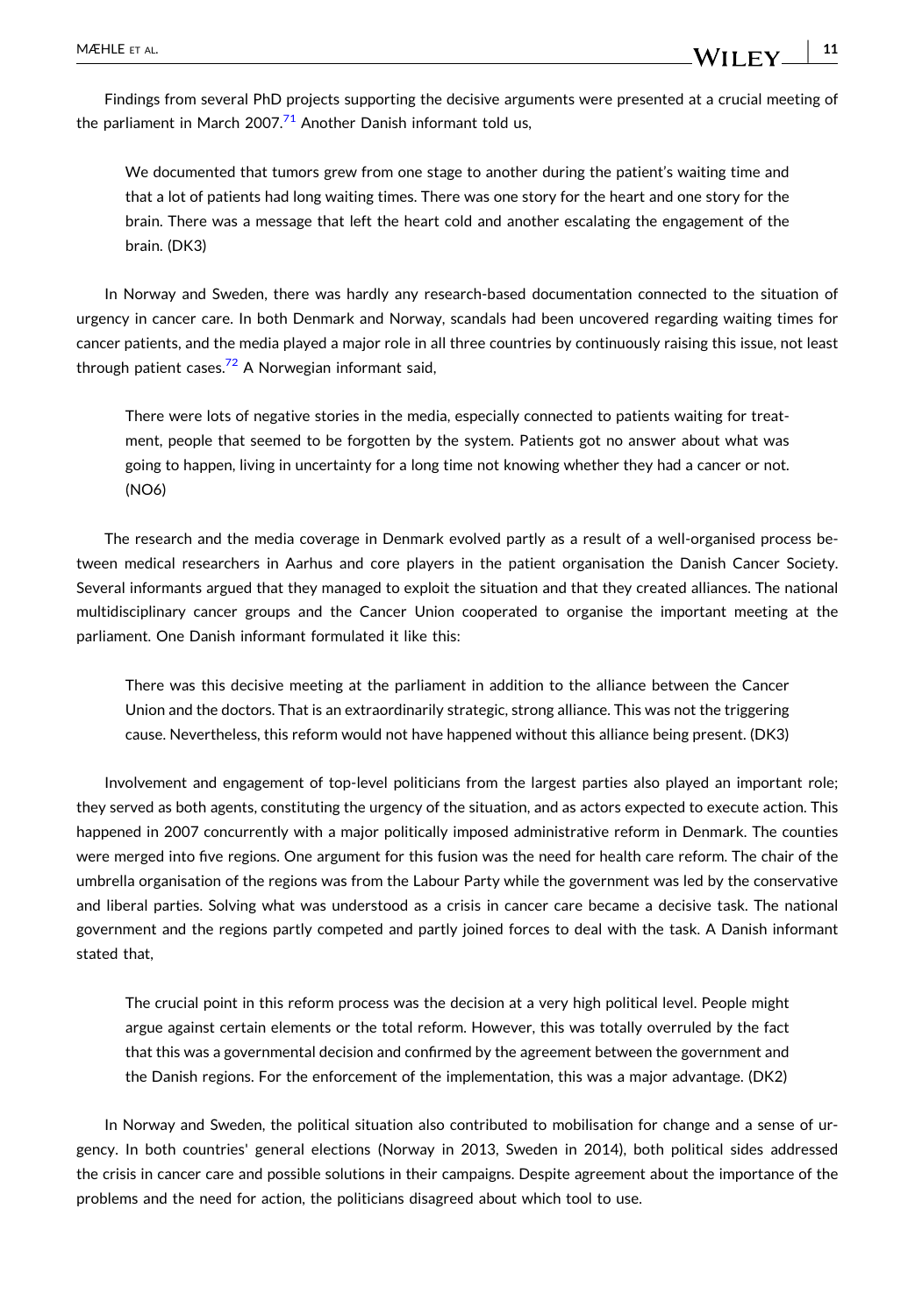Findings from several PhD projects supporting the decisive arguments were presented at a crucial meeting of the parliament in March 2007.<sup>[71](#page-16-0)</sup> Another Danish informant told us,

- **11**

WILEY

We documented that tumors grew from one stage to another during the patient's waiting time and that a lot of patients had long waiting times. There was one story for the heart and one story for the brain. There was a message that left the heart cold and another escalating the engagement of the brain. (DK3)

In Norway and Sweden, there was hardly any research-based documentation connected to the situation of urgency in cancer care. In both Denmark and Norway, scandals had been uncovered regarding waiting times for cancer patients, and the media played a major role in all three countries by continuously raising this issue, not least through patient cases. $72$  A Norwegian informant said,

There were lots of negative stories in the media, especially connected to patients waiting for treatment, people that seemed to be forgotten by the system. Patients got no answer about what was going to happen, living in uncertainty for a long time not knowing whether they had a cancer or not. (NO6)

The research and the media coverage in Denmark evolved partly as a result of a well-organised process between medical researchers in Aarhus and core players in the patient organisation the Danish Cancer Society. Several informants argued that they managed to exploit the situation and that they created alliances. The national multidisciplinary cancer groups and the Cancer Union cooperated to organise the important meeting at the parliament. One Danish informant formulated it like this:

There was this decisive meeting at the parliament in addition to the alliance between the Cancer Union and the doctors. That is an extraordinarily strategic, strong alliance. This was not the triggering cause. Nevertheless, this reform would not have happened without this alliance being present. (DK3)

Involvement and engagement of top-level politicians from the largest parties also played an important role; they served as both agents, constituting the urgency of the situation, and as actors expected to execute action. This happened in 2007 concurrently with a major politically imposed administrative reform in Denmark. The counties were merged into five regions. One argument for this fusion was the need for health care reform. The chair of the umbrella organisation of the regions was from the Labour Party while the government was led by the conservative and liberal parties. Solving what was understood as a crisis in cancer care became a decisive task. The national government and the regions partly competed and partly joined forces to deal with the task. A Danish informant stated that,

The crucial point in this reform process was the decision at a very high political level. People might argue against certain elements or the total reform. However, this was totally overruled by the fact that this was a governmental decision and confirmed by the agreement between the government and the Danish regions. For the enforcement of the implementation, this was a major advantage. (DK2)

In Norway and Sweden, the political situation also contributed to mobilisation for change and a sense of urgency. In both countries' general elections (Norway in 2013, Sweden in 2014), both political sides addressed the crisis in cancer care and possible solutions in their campaigns. Despite agreement about the importance of the problems and the need for action, the politicians disagreed about which tool to use.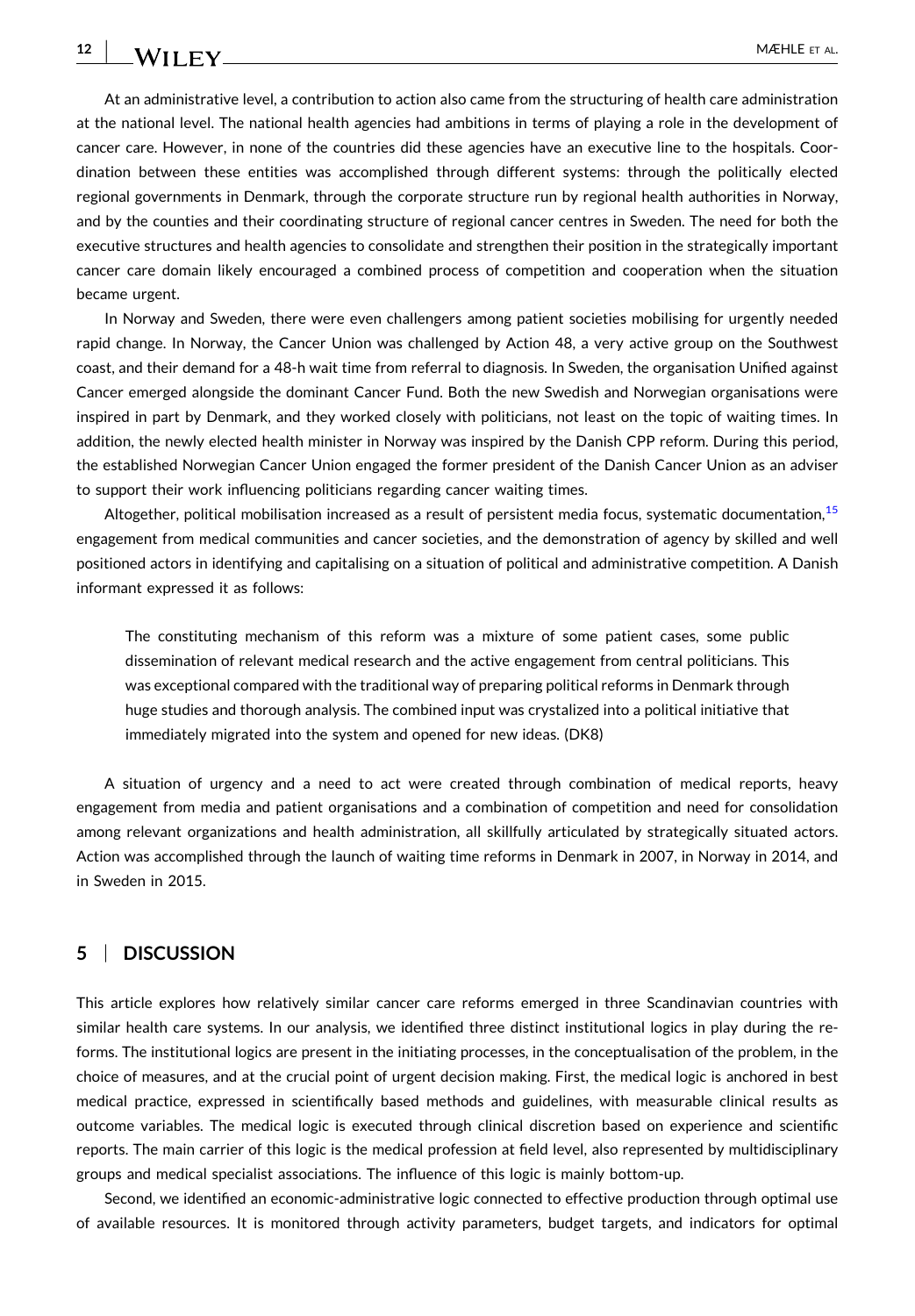At an administrative level, a contribution to action also came from the structuring of health care administration at the national level. The national health agencies had ambitions in terms of playing a role in the development of cancer care. However, in none of the countries did these agencies have an executive line to the hospitals. Coordination between these entities was accomplished through different systems: through the politically elected regional governments in Denmark, through the corporate structure run by regional health authorities in Norway, and by the counties and their coordinating structure of regional cancer centres in Sweden. The need for both the executive structures and health agencies to consolidate and strengthen their position in the strategically important cancer care domain likely encouraged a combined process of competition and cooperation when the situation became urgent.

In Norway and Sweden, there were even challengers among patient societies mobilising for urgently needed rapid change. In Norway, the Cancer Union was challenged by Action 48, a very active group on the Southwest coast, and their demand for a 48‐h wait time from referral to diagnosis. In Sweden, the organisation Unified against Cancer emerged alongside the dominant Cancer Fund. Both the new Swedish and Norwegian organisations were inspired in part by Denmark, and they worked closely with politicians, not least on the topic of waiting times. In addition, the newly elected health minister in Norway was inspired by the Danish CPP reform. During this period, the established Norwegian Cancer Union engaged the former president of the Danish Cancer Union as an adviser to support their work influencing politicians regarding cancer waiting times.

Altogether, political mobilisation increased as a result of persistent media focus, systematic documentation,<sup>15</sup> engagement from medical communities and cancer societies, and the demonstration of agency by skilled and well positioned actors in identifying and capitalising on a situation of political and administrative competition. A Danish informant expressed it as follows:

The constituting mechanism of this reform was a mixture of some patient cases, some public dissemination of relevant medical research and the active engagement from central politicians. This was exceptional compared with the traditional way of preparing political reforms in Denmark through huge studies and thorough analysis. The combined input was crystalized into a political initiative that immediately migrated into the system and opened for new ideas. (DK8)

A situation of urgency and a need to act were created through combination of medical reports, heavy engagement from media and patient organisations and a combination of competition and need for consolidation among relevant organizations and health administration, all skillfully articulated by strategically situated actors. Action was accomplished through the launch of waiting time reforms in Denmark in 2007, in Norway in 2014, and in Sweden in 2015.

### **5** <sup>|</sup> **DISCUSSION**

This article explores how relatively similar cancer care reforms emerged in three Scandinavian countries with similar health care systems. In our analysis, we identified three distinct institutional logics in play during the reforms. The institutional logics are present in the initiating processes, in the conceptualisation of the problem, in the choice of measures, and at the crucial point of urgent decision making. First, the medical logic is anchored in best medical practice, expressed in scientifically based methods and guidelines, with measurable clinical results as outcome variables. The medical logic is executed through clinical discretion based on experience and scientific reports. The main carrier of this logic is the medical profession at field level, also represented by multidisciplinary groups and medical specialist associations. The influence of this logic is mainly bottom‐up.

Second, we identified an economic‐administrative logic connected to effective production through optimal use of available resources. It is monitored through activity parameters, budget targets, and indicators for optimal

**12**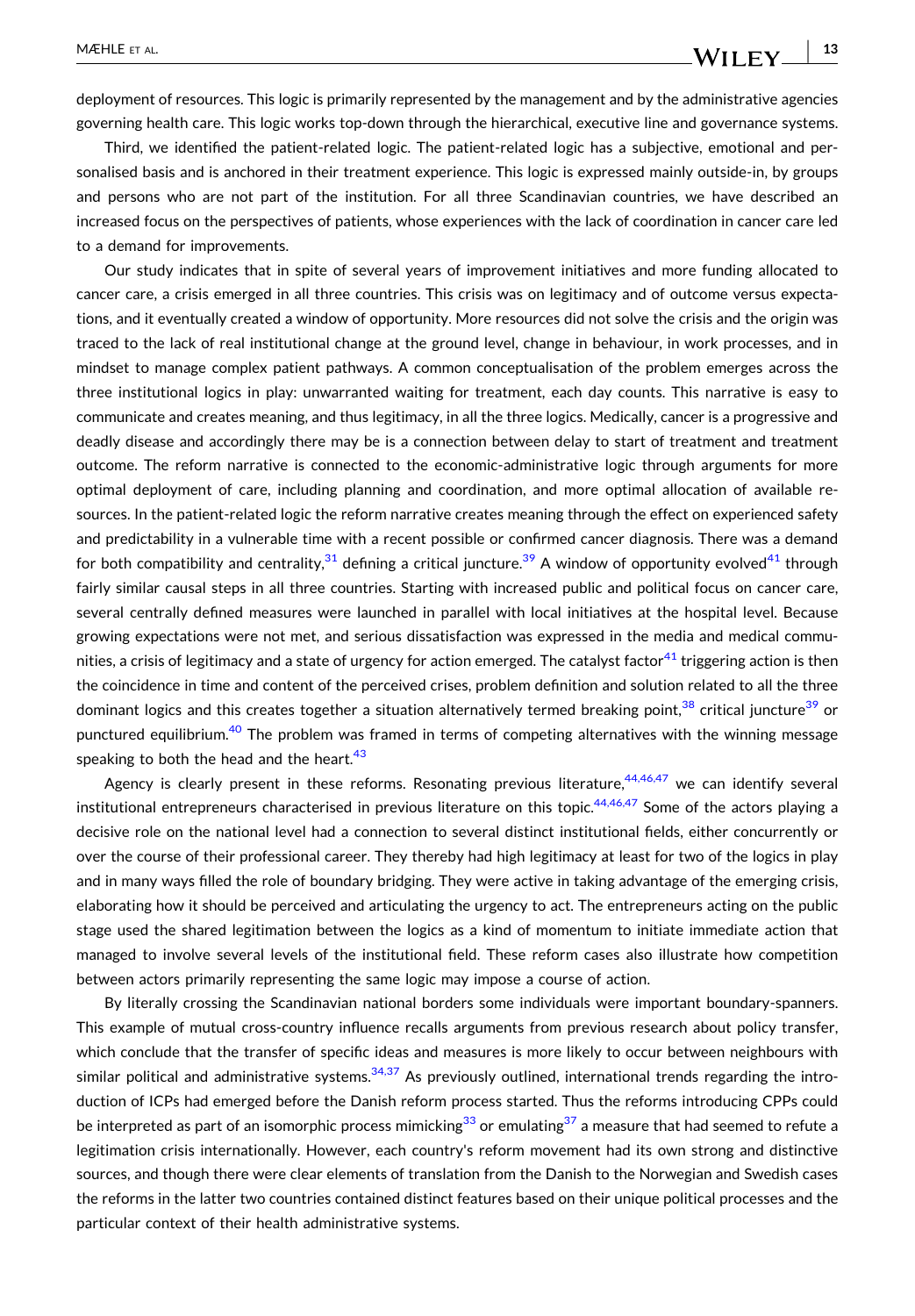WILEY

deployment of resources. This logic is primarily represented by the management and by the administrative agencies governing health care. This logic works top‐down through the hierarchical, executive line and governance systems.

Third, we identified the patient‐related logic. The patient‐related logic has a subjective, emotional and personalised basis and is anchored in their treatment experience. This logic is expressed mainly outside‐in, by groups and persons who are not part of the institution. For all three Scandinavian countries, we have described an increased focus on the perspectives of patients, whose experiences with the lack of coordination in cancer care led to a demand for improvements.

Our study indicates that in spite of several years of improvement initiatives and more funding allocated to cancer care, a crisis emerged in all three countries. This crisis was on legitimacy and of outcome versus expectations, and it eventually created a window of opportunity. More resources did not solve the crisis and the origin was traced to the lack of real institutional change at the ground level, change in behaviour, in work processes, and in mindset to manage complex patient pathways. A common conceptualisation of the problem emerges across the three institutional logics in play: unwarranted waiting for treatment, each day counts. This narrative is easy to communicate and creates meaning, and thus legitimacy, in all the three logics. Medically, cancer is a progressive and deadly disease and accordingly there may be is a connection between delay to start of treatment and treatment outcome. The reform narrative is connected to the economic‐administrative logic through arguments for more optimal deployment of care, including planning and coordination, and more optimal allocation of available resources. In the patient-related logic the reform narrative creates meaning through the effect on experienced safety and predictability in a vulnerable time with a recent possible or confirmed cancer diagnosis. There was a demand for both compatibility and centrality,  $31$  defining a critical juncture.  $39$  A window of opportunity evolved  $41$  through fairly similar causal steps in all three countries. Starting with increased public and political focus on cancer care, several centrally defined measures were launched in parallel with local initiatives at the hospital level. Because growing expectations were not met, and serious dissatisfaction was expressed in the media and medical commu-nities, a crisis of legitimacy and a state of urgency for action emerged. The catalyst factor<sup>[41](#page-15-0)</sup> triggering action is then the coincidence in time and content of the perceived crises, problem definition and solution related to all the three dominant logics and this creates together a situation alternatively termed breaking point,<sup>[38](#page-15-0)</sup> critical juncture<sup>[39](#page-15-0)</sup> or punctured equilibrium.<sup>40</sup> The problem was framed in terms of competing alternatives with the winning message speaking to both the head and the heart.<sup>[43](#page-15-0)</sup>

Agency is clearly present in these reforms. Resonating previous literature,<sup>[44,46,47](#page-15-0)</sup> we can identify several institutional entrepreneurs characterised in previous literature on this topic.<sup>[44,46,47](#page-15-0)</sup> Some of the actors playing a decisive role on the national level had a connection to several distinct institutional fields, either concurrently or over the course of their professional career. They thereby had high legitimacy at least for two of the logics in play and in many ways filled the role of boundary bridging. They were active in taking advantage of the emerging crisis, elaborating how it should be perceived and articulating the urgency to act. The entrepreneurs acting on the public stage used the shared legitimation between the logics as a kind of momentum to initiate immediate action that managed to involve several levels of the institutional field. These reform cases also illustrate how competition between actors primarily representing the same logic may impose a course of action.

By literally crossing the Scandinavian national borders some individuals were important boundary‐spanners. This example of mutual cross‐country influence recalls arguments from previous research about policy transfer, which conclude that the transfer of specific ideas and measures is more likely to occur between neighbours with similar political and administrative systems. $34,37$  As previously outlined, international trends regarding the introduction of ICPs had emerged before the Danish reform process started. Thus the reforms introducing CPPs could be interpreted as part of an isomorphic process mimicking<sup>33</sup> or emulating<sup>[37](#page-15-0)</sup> a measure that had seemed to refute a legitimation crisis internationally. However, each country's reform movement had its own strong and distinctive sources, and though there were clear elements of translation from the Danish to the Norwegian and Swedish cases the reforms in the latter two countries contained distinct features based on their unique political processes and the particular context of their health administrative systems.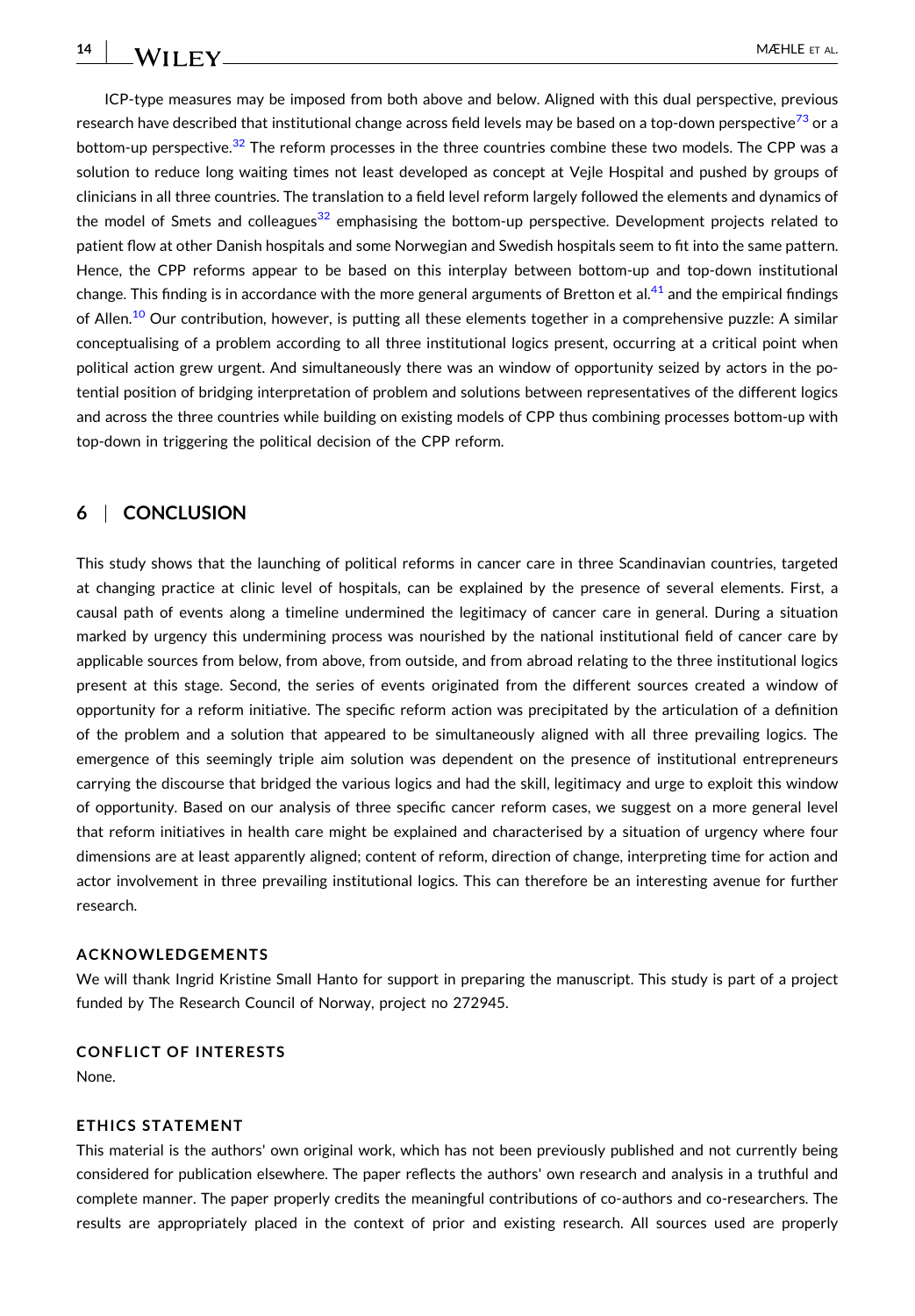**14**

ICP‐type measures may be imposed from both above and below. Aligned with this dual perspective, previous research have described that institutional change across field levels may be based on a top-down perspective<sup>[73](#page-16-0)</sup> or a bottom-up perspective.<sup>[32](#page-15-0)</sup> The reform processes in the three countries combine these two models. The CPP was a solution to reduce long waiting times not least developed as concept at Vejle Hospital and pushed by groups of clinicians in all three countries. The translation to a field level reform largely followed the elements and dynamics of the model of Smets and colleagues<sup>[32](#page-15-0)</sup> emphasising the bottom-up perspective. Development projects related to patient flow at other Danish hospitals and some Norwegian and Swedish hospitals seem to fit into the same pattern. Hence, the CPP reforms appear to be based on this interplay between bottom-up and top-down institutional change. This finding is in accordance with the more general arguments of Bretton et al.<sup>[41](#page-15-0)</sup> and the empirical findings of Allen.<sup>[10](#page-14-0)</sup> Our contribution, however, is putting all these elements together in a comprehensive puzzle: A similar conceptualising of a problem according to all three institutional logics present, occurring at a critical point when political action grew urgent. And simultaneously there was an window of opportunity seized by actors in the potential position of bridging interpretation of problem and solutions between representatives of the different logics and across the three countries while building on existing models of CPP thus combining processes bottom‐up with top‐down in triggering the political decision of the CPP reform.

## **6** <sup>|</sup> **CONCLUSION**

This study shows that the launching of political reforms in cancer care in three Scandinavian countries, targeted at changing practice at clinic level of hospitals, can be explained by the presence of several elements. First, a causal path of events along a timeline undermined the legitimacy of cancer care in general. During a situation marked by urgency this undermining process was nourished by the national institutional field of cancer care by applicable sources from below, from above, from outside, and from abroad relating to the three institutional logics present at this stage. Second, the series of events originated from the different sources created a window of opportunity for a reform initiative. The specific reform action was precipitated by the articulation of a definition of the problem and a solution that appeared to be simultaneously aligned with all three prevailing logics. The emergence of this seemingly triple aim solution was dependent on the presence of institutional entrepreneurs carrying the discourse that bridged the various logics and had the skill, legitimacy and urge to exploit this window of opportunity. Based on our analysis of three specific cancer reform cases, we suggest on a more general level that reform initiatives in health care might be explained and characterised by a situation of urgency where four dimensions are at least apparently aligned; content of reform, direction of change, interpreting time for action and actor involvement in three prevailing institutional logics. This can therefore be an interesting avenue for further research.

## **ACKNOWLEDGEMENTS**

We will thank Ingrid Kristine Small Hanto for support in preparing the manuscript. This study is part of a project funded by The Research Council of Norway, project no 272945.

## **CONFLICT OF INTERESTS**

None.

#### **ETHICS STATEMENT**

This material is the authors' own original work, which has not been previously published and not currently being considered for publication elsewhere. The paper reflects the authors' own research and analysis in a truthful and complete manner. The paper properly credits the meaningful contributions of co-authors and co-researchers. The results are appropriately placed in the context of prior and existing research. All sources used are properly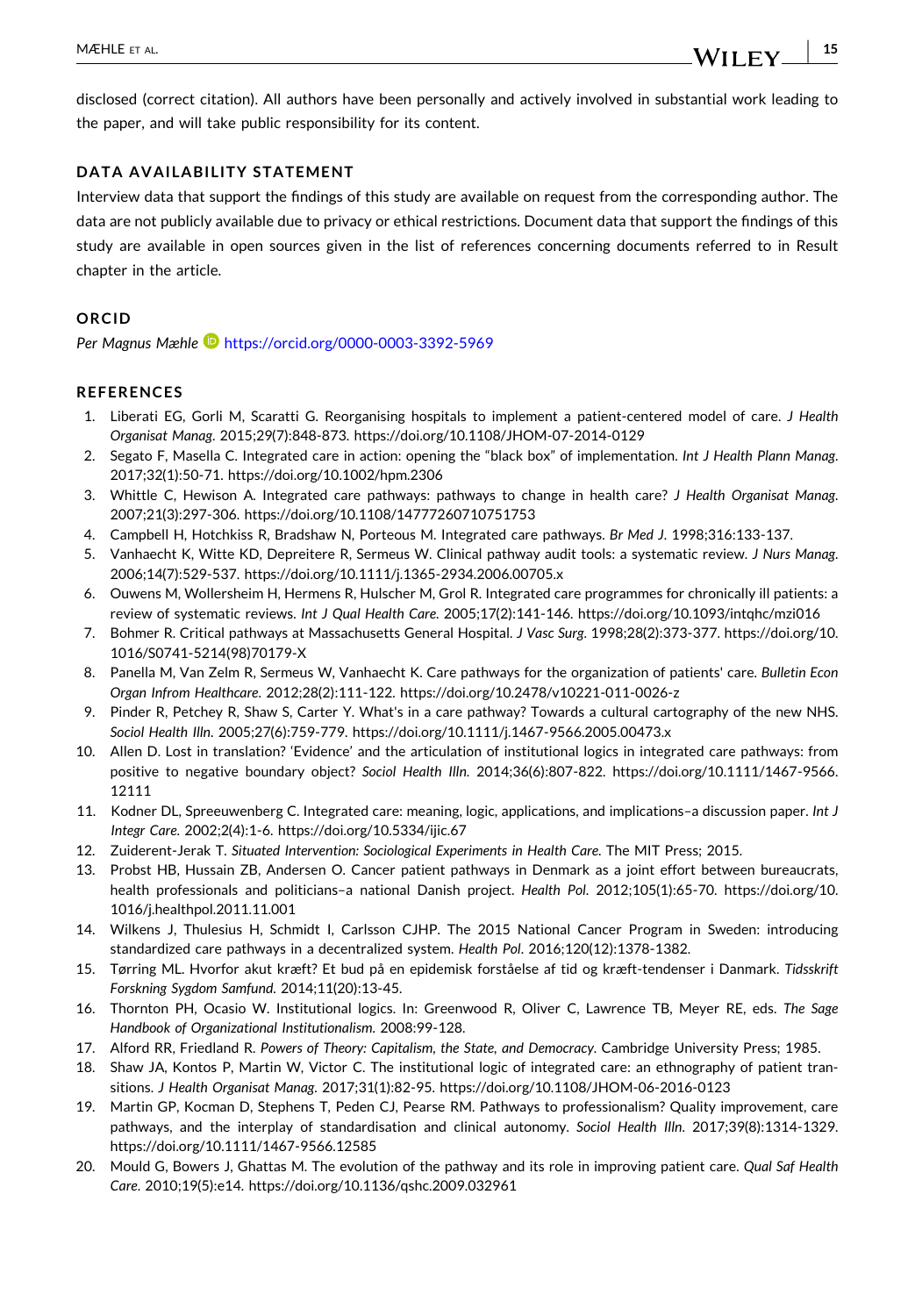<span id="page-14-0"></span>disclosed (correct citation). All authors have been personally and actively involved in substantial work leading to the paper, and will take public responsibility for its content.

#### **DATA AVAILABILITY STATEMENT**

Interview data that support the findings of this study are available on request from the corresponding author. The data are not publicly available due to privacy or ethical restrictions. Document data that support the findings of this study are available in open sources given in the list of references concerning documents referred to in Result chapter in the article.

#### **ORCID**

*Per Magnus Mæhle* <https://orcid.org/0000-0003-3392-5969>

#### **REFERENCES**

- 1. Liberati EG, Gorli M, Scaratti G. Reorganising hospitals to implement a patient‐centered model of care. *J Health Organisat Manag*. 2015;29(7):848‐873. [https://doi.org/10.1108/JHOM](https://doi.org/10.1108/JHOM-07-2014-0129)‐07‐2014‐0129
- 2. Segato F, Masella C. Integrated care in action: opening the "black box" of implementation. *Int J Health Plann Manag*. 2017;32(1):50‐71. <https://doi.org/10.1002/hpm.2306>
- 3. Whittle C, Hewison A. Integrated care pathways: pathways to change in health care? *J Health Organisat Manag*. 2007;21(3):297‐306. <https://doi.org/10.1108/14777260710751753>
- 4. Campbell H, Hotchkiss R, Bradshaw N, Porteous M. Integrated care pathways. *Br Med J*. 1998;316:133‐137.
- 5. Vanhaecht K, Witte KD, Depreitere R, Sermeus W. Clinical pathway audit tools: a systematic review. *J Nurs Manag*. 2006;14(7):529‐537. [https://doi.org/10.1111/j.1365](https://doi.org/10.1111/j.1365-2934.2006.00705.x)‐2934.2006.00705.x
- 6. Ouwens M, Wollersheim H, Hermens R, Hulscher M, Grol R. Integrated care programmes for chronically ill patients: a review of systematic reviews. *Int J Qual Health Care*. 2005;17(2):141‐146. <https://doi.org/10.1093/intqhc/mzi016>
- 7. Bohmer R. Critical pathways at Massachusetts General Hospital. *J Vasc Surg*. 1998;28(2):373‐377. [https://doi.org/10.](https://doi.org/10.1016/S0741-5214%2898%2970179-X) 1016/S0741‐[5214\(98\)70179](https://doi.org/10.1016/S0741-5214%2898%2970179-X)‐X
- 8. Panella M, Van Zelm R, Sermeus W, Vanhaecht K. Care pathways for the organization of patients' care. *Bulletin Econ Organ Infrom Healthcare*. 2012;28(2):111‐122. [https://doi.org/10.2478/v10221](https://doi.org/10.2478/v10221-011-0026-z)‐011‐0026‐z
- 9. Pinder R, Petchey R, Shaw S, Carter Y. What's in a care pathway? Towards a cultural cartography of the new NHS. *Sociol Health Illn*. 2005;27(6):759‐779. [https://doi.org/10.1111/j.1467](https://doi.org/10.1111/j.1467-9566.2005.00473.x)‐9566.2005.00473.x
- 10. Allen D. Lost in translation? 'Evidence' and the articulation of institutional logics in integrated care pathways: from positive to negative boundary object? *Sociol Health Illn*. 2014;36(6):807‐822. [https://doi.org/10.1111/1467](https://doi.org/10.1111/1467-9566.12111)‐9566. [12111](https://doi.org/10.1111/1467-9566.12111)
- 11. Kodner DL, Spreeuwenberg C. Integrated care: meaning, logic, applications, and implications–a discussion paper. *Int J Integr Care*. 2002;2(4):1‐6. <https://doi.org/10.5334/ijic.67>
- 12. Zuiderent‐Jerak T. *Situated Intervention: Sociological Experiments in Health Care*. The MIT Press; 2015.
- 13. Probst HB, Hussain ZB, Andersen O. Cancer patient pathways in Denmark as a joint effort between bureaucrats, health professionals and politicians–a national Danish project. *Health Pol*. 2012;105(1):65‐70. [https://doi.org/10.](https://doi.org/10.1016/j.healthpol.2011.11.001) [1016/j.healthpol.2011.11.001](https://doi.org/10.1016/j.healthpol.2011.11.001)
- 14. Wilkens J, Thulesius H, Schmidt I, Carlsson CJHP. The 2015 National Cancer Program in Sweden: introducing standardized care pathways in a decentralized system. *Health Pol*. 2016;120(12):1378‐1382.
- 15. Tørring ML. Hvorfor akut kræft? Et bud på en epidemisk forståelse af tid og kræft‐tendenser i Danmark. *Tidsskrift Forskning Sygdom Samfund*. 2014;11(20):13‐45.
- 16. Thornton PH, Ocasio W. Institutional logics. In: Greenwood R, Oliver C, Lawrence TB, Meyer RE, eds. *The Sage Handbook of Organizational Institutionalism*. 2008:99‐128.
- 17. Alford RR, Friedland R. *Powers of Theory: Capitalism, the State, and Democracy*. Cambridge University Press; 1985.
- 18. Shaw JA, Kontos P, Martin W, Victor C. The institutional logic of integrated care: an ethnography of patient transitions. *J Health Organisat Manag*. 2017;31(1):82‐95. [https://doi.org/10.1108/JHOM](https://doi.org/10.1108/JHOM-06-2016-0123)‐06‐2016‐0123
- 19. Martin GP, Kocman D, Stephens T, Peden CJ, Pearse RM. Pathways to professionalism? Quality improvement, care pathways, and the interplay of standardisation and clinical autonomy. *Sociol Health Illn*. 2017;39(8):1314‐1329. [https://doi.org/10.1111/1467](https://doi.org/10.1111/1467-9566.12585)‐9566.12585
- 20. Mould G, Bowers J, Ghattas M. The evolution of the pathway and its role in improving patient care. *Qual Saf Health Care*. 2010;19(5):e14. <https://doi.org/10.1136/qshc.2009.032961>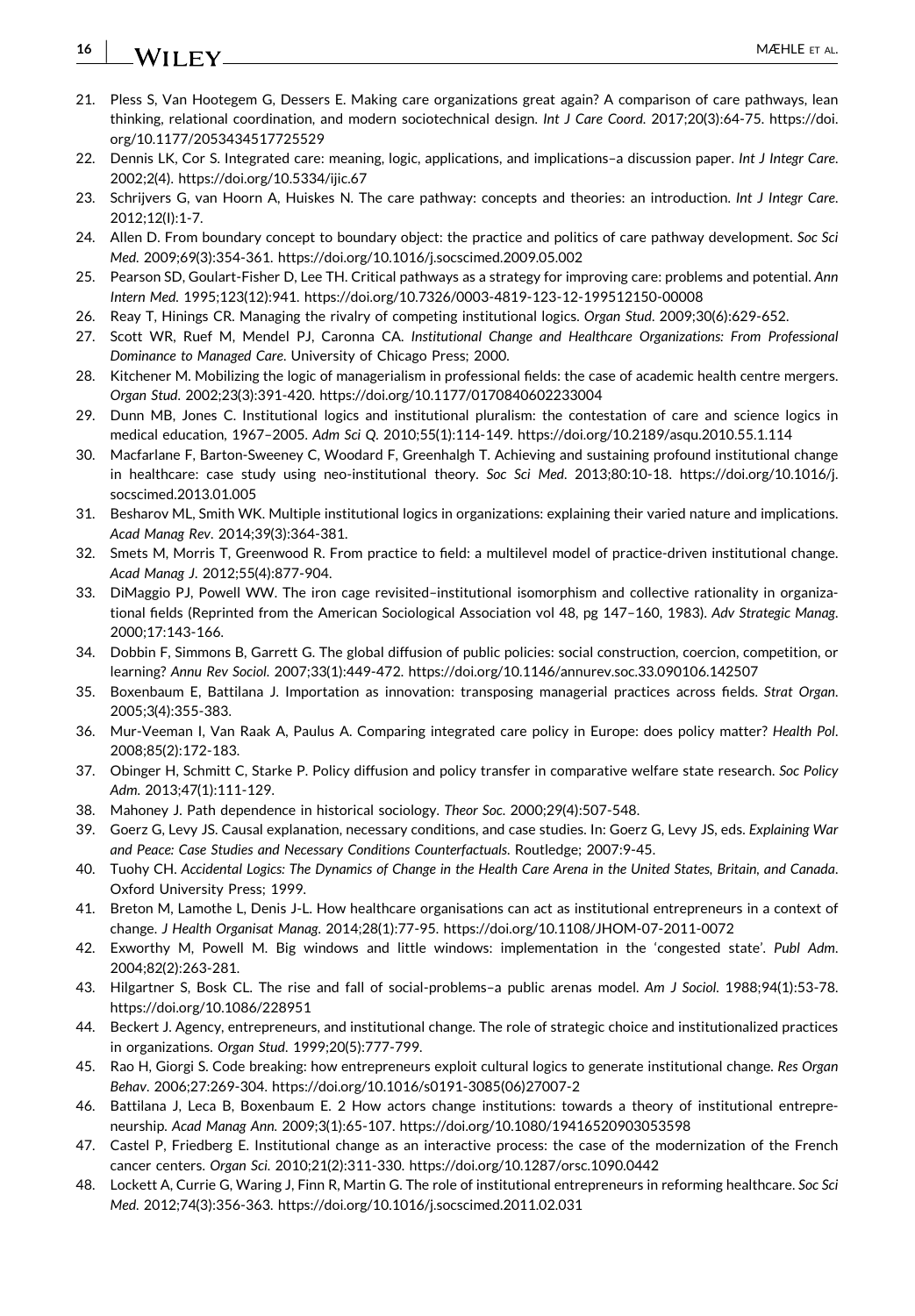#### <span id="page-15-0"></span>**16** - MÆHLE ET AL.

- 21. Pless S, Van Hootegem G, Dessers E. Making care organizations great again? A comparison of care pathways, lean thinking, relational coordination, and modern sociotechnical design. *Int J Care Coord*. 2017;20(3):64‐75. [https://doi.](https://doi.org/10.1177/2053434517725529) [org/10.1177/2053434517725529](https://doi.org/10.1177/2053434517725529)
- 22. Dennis LK, Cor S. Integrated care: meaning, logic, applications, and implications–a discussion paper. *Int J Integr Care*. 2002;2(4). <https://doi.org/10.5334/ijic.67>
- 23. Schrijvers G, van Hoorn A, Huiskes N. The care pathway: concepts and theories: an introduction. *Int J Integr Care*. 2012;12(I):1‐7.
- 24. Allen D. From boundary concept to boundary object: the practice and politics of care pathway development. *Soc Sci Med*. 2009;69(3):354‐361. <https://doi.org/10.1016/j.socscimed.2009.05.002>
- 25. Pearson SD, Goulart‐Fisher D, Lee TH. Critical pathways as a strategy for improving care: problems and potential. *Ann Intern Med*. 1995;123(12):941. [https://doi.org/10.7326/0003](https://doi.org/10.7326/0003-4819-123-12-199512150-00008)‐4819‐123‐12‐199512150‐00008
- 26. Reay T, Hinings CR. Managing the rivalry of competing institutional logics. *Organ Stud*. 2009;30(6):629‐652.
- 27. Scott WR, Ruef M, Mendel PJ, Caronna CA. *Institutional Change and Healthcare Organizations: From Professional Dominance to Managed Care*. University of Chicago Press; 2000.
- 28. Kitchener M. Mobilizing the logic of managerialism in professional fields: the case of academic health centre mergers. *Organ Stud*. 2002;23(3):391‐420. <https://doi.org/10.1177/0170840602233004>
- 29. Dunn MB, Jones C. Institutional logics and institutional pluralism: the contestation of care and science logics in medical education, 1967–2005. *Adm Sci Q*. 2010;55(1):114‐149. <https://doi.org/10.2189/asqu.2010.55.1.114>
- 30. Macfarlane F, Barton‐Sweeney C, Woodard F, Greenhalgh T. Achieving and sustaining profound institutional change in healthcare: case study using neo‐institutional theory. *Soc Sci Med*. 2013;80:10‐18. [https://doi.org/10.1016/j.](https://doi.org/10.1016/j.socscimed.2013.01.005) [socscimed.2013.01.005](https://doi.org/10.1016/j.socscimed.2013.01.005)
- 31. Besharov ML, Smith WK. Multiple institutional logics in organizations: explaining their varied nature and implications. *Acad Manag Rev*. 2014;39(3):364‐381.
- 32. Smets M, Morris T, Greenwood R. From practice to field: a multilevel model of practice‐driven institutional change. *Acad Manag J*. 2012;55(4):877‐904.
- 33. DiMaggio PJ, Powell WW. The iron cage revisited–institutional isomorphism and collective rationality in organizational fields (Reprinted from the American Sociological Association vol 48, pg 147–160, 1983). *Adv Strategic Manag*. 2000;17:143‐166.
- 34. Dobbin F, Simmons B, Garrett G. The global diffusion of public policies: social construction, coercion, competition, or learning? *Annu Rev Sociol*. 2007;33(1):449‐472. <https://doi.org/10.1146/annurev.soc.33.090106.142507>
- 35. Boxenbaum E, Battilana J. Importation as innovation: transposing managerial practices across fields. *Strat Organ*. 2005;3(4):355‐383.
- 36. Mur‐Veeman I, Van Raak A, Paulus A. Comparing integrated care policy in Europe: does policy matter? *Health Pol*. 2008;85(2):172‐183.
- 37. Obinger H, Schmitt C, Starke P. Policy diffusion and policy transfer in comparative welfare state research. *Soc Policy Adm*. 2013;47(1):111‐129.
- 38. Mahoney J. Path dependence in historical sociology. *Theor Soc*. 2000;29(4):507‐548.
- 39. Goerz G, Levy JS. Causal explanation, necessary conditions, and case studies. In: Goerz G, Levy JS, eds. *Explaining War and Peace: Case Studies and Necessary Conditions Counterfactuals*. Routledge; 2007:9‐45.
- 40. Tuohy CH. Accidental Logics: The Dynamics of Change in the Health Care Arena in the United States, Britain, and Canada. Oxford University Press; 1999.
- 41. Breton M, Lamothe L, Denis J‐L. How healthcare organisations can act as institutional entrepreneurs in a context of change. *J Health Organisat Manag*. 2014;28(1):77‐95. [https://doi.org/10.1108/JHOM](https://doi.org/10.1108/JHOM-07-2011-0072)‐07‐2011‐0072
- 42. Exworthy M, Powell M. Big windows and little windows: implementation in the 'congested state'. *Publ Adm*. 2004;82(2):263‐281.
- 43. Hilgartner S, Bosk CL. The rise and fall of social‐problems–a public arenas model. *Am J Sociol*. 1988;94(1):53‐78. <https://doi.org/10.1086/228951>
- 44. Beckert J. Agency, entrepreneurs, and institutional change. The role of strategic choice and institutionalized practices in organizations. *Organ Stud*. 1999;20(5):777‐799.
- 45. Rao H, Giorgi S. Code breaking: how entrepreneurs exploit cultural logics to generate institutional change. *Res Organ Behav*. 2006;27:269‐304. [https://doi.org/10.1016/s0191](https://doi.org/10.1016/s0191-3085%2806%2927007-2)‐3085(06)27007‐2
- 46. Battilana J, Leca B, Boxenbaum E. 2 How actors change institutions: towards a theory of institutional entrepreneurship. *Acad Manag Ann*. 2009;3(1):65‐107. <https://doi.org/10.1080/19416520903053598>
- 47. Castel P, Friedberg E. Institutional change as an interactive process: the case of the modernization of the French cancer centers. *Organ Sci*. 2010;21(2):311‐330. <https://doi.org/10.1287/orsc.1090.0442>
- 48. Lockett A, Currie G, Waring J, Finn R, Martin G. The role of institutional entrepreneurs in reforming healthcare. *Soc Sci Med*. 2012;74(3):356‐363. <https://doi.org/10.1016/j.socscimed.2011.02.031>